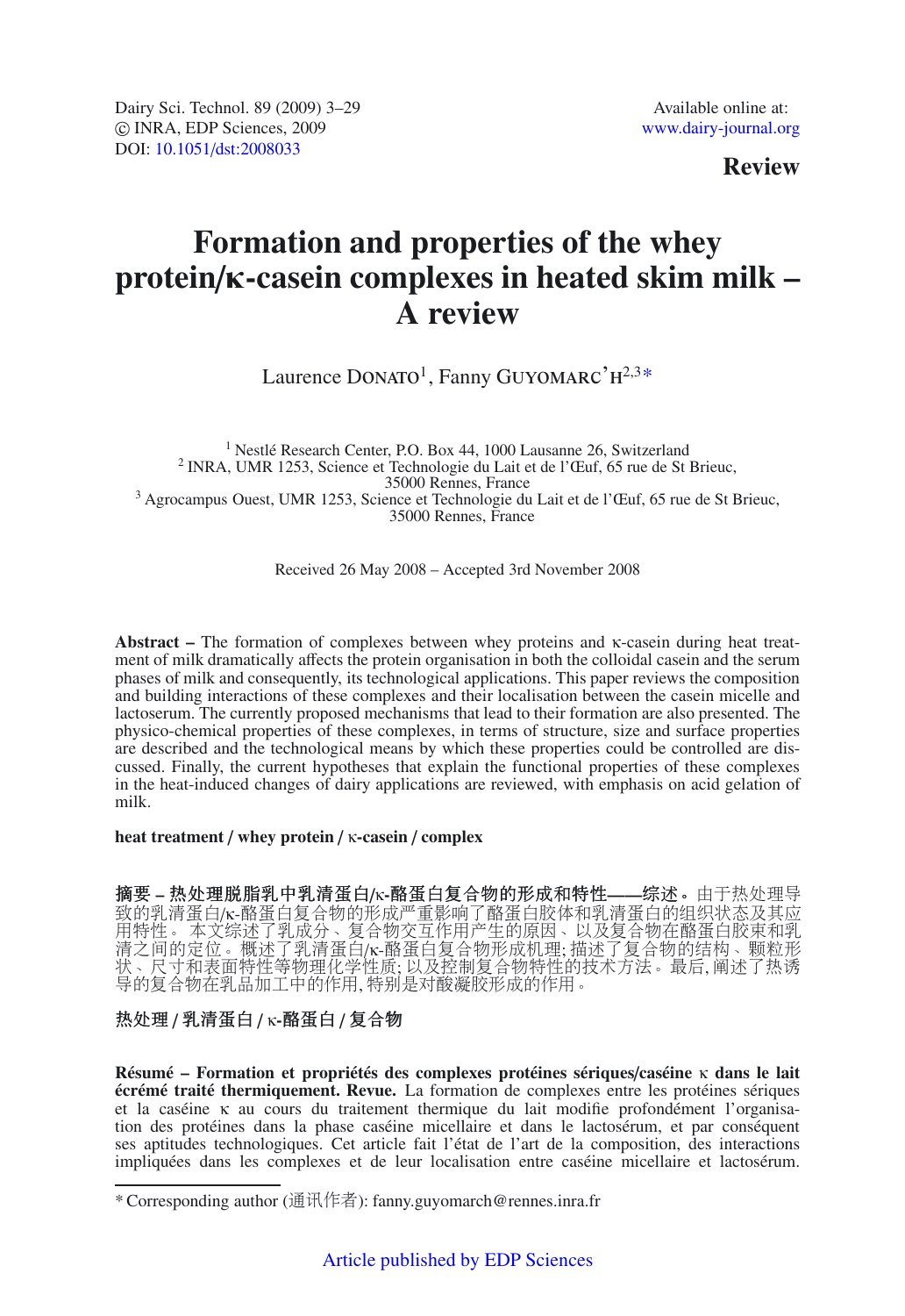Dairy Sci. Technol. 89 (2009) 3–29 Available online at: -c INRA, EDP Sciences, 2009 [www.dairy-journal.org](http://www.dairy-journal.org) DOI: 10.1051/[dst:2008033](http://dx.doi.org/10.1051/dst:2008033)

**Review**

# **Formation and properties of the whey protein**/κ**-casein complexes in heated skim milk – A review**

Laurence DONATO<sup>1</sup>, Fanny GUYOMARC'<sup>H2,3\*</sup>

<sup>1</sup> Nestlé Research Center, P.O. Box 44, 1000 Lausanne 26, Switzerland <sup>2</sup> INRA, UMR 1253, Science et Technologie du Lait et de l'Œuf, 65 rue de St Brieuc, 35000 Rennes, France <sup>3</sup> Agrocampus Ouest, UMR 1253, Science et Technologie du Lait et de l'Œuf, 65 rue de St Brieuc, 35000 Rennes, France

Received 26 May 2008 – Accepted 3rd November 2008

**Abstract –** The formation of complexes between whey proteins and κ-casein during heat treatment of milk dramatically affects the protein organisation in both the colloidal casein and the serum phases of milk and consequently, its technological applications. This paper reviews the composition and building interactions of these complexes and their localisation between the casein micelle and lactoserum. The currently proposed mechanisms that lead to their formation are also presented. The physico-chemical properties of these complexes, in terms of structure, size and surface properties are described and the technological means by which these properties could be controlled are discussed. Finally, the current hypotheses that explain the functional properties of these complexes in the heat-induced changes of dairy applications are reviewed, with emphasis on acid gelation of milk.

**heat treatment** / **whey protein** / κ**-casein** / **complex**

摘要 **–** 热处理脱脂乳中乳清蛋白/κ**-**酪蛋白复合物的形成和特性**——**综述。由于热处理导 致的乳清蛋白/κ-酪蛋白复合物的形成严重影响了酪蛋白胶体和乳清蛋白的组织状态及其应 用特性。 本文综述了乳成分、复合物交互作用产生的原因、以及复合物在酪蛋白胶束和乳 清之间的定位。概述了乳清蛋白/κ-酪蛋白复合物形成机理; 描述了复合物的结构、颗粒形 状、尺寸和表面特性等物理化学性质; 以及控制复合物特性的技术方法。最后, 阐述了热诱 导的复合物在乳品加工中的作用, 特别是对酸凝胶形成的作用。

# 热处理 / 乳清蛋白 / κ**-**酪蛋白 / 复合物

**Résumé – Formation et propriétés des complexes protéines sériques**/**caséine** κ **dans le lait écrémé traité thermiquement. Revue.** La formation de complexes entre les protéines sériques et la caséine κ au cours du traitement thermique du lait modifie profondément l'organisation des protéines dans la phase caséine micellaire et dans le lactosérum, et par conséquent ses aptitudes technologiques. Cet article fait l'état de l'art de la composition, des interactions impliquées dans les complexes et de leur localisation entre caséine micellaire et lactosérum.

<sup>\*</sup> Corresponding author (通讯作者): fanny.guyomarch@rennes.inra.fr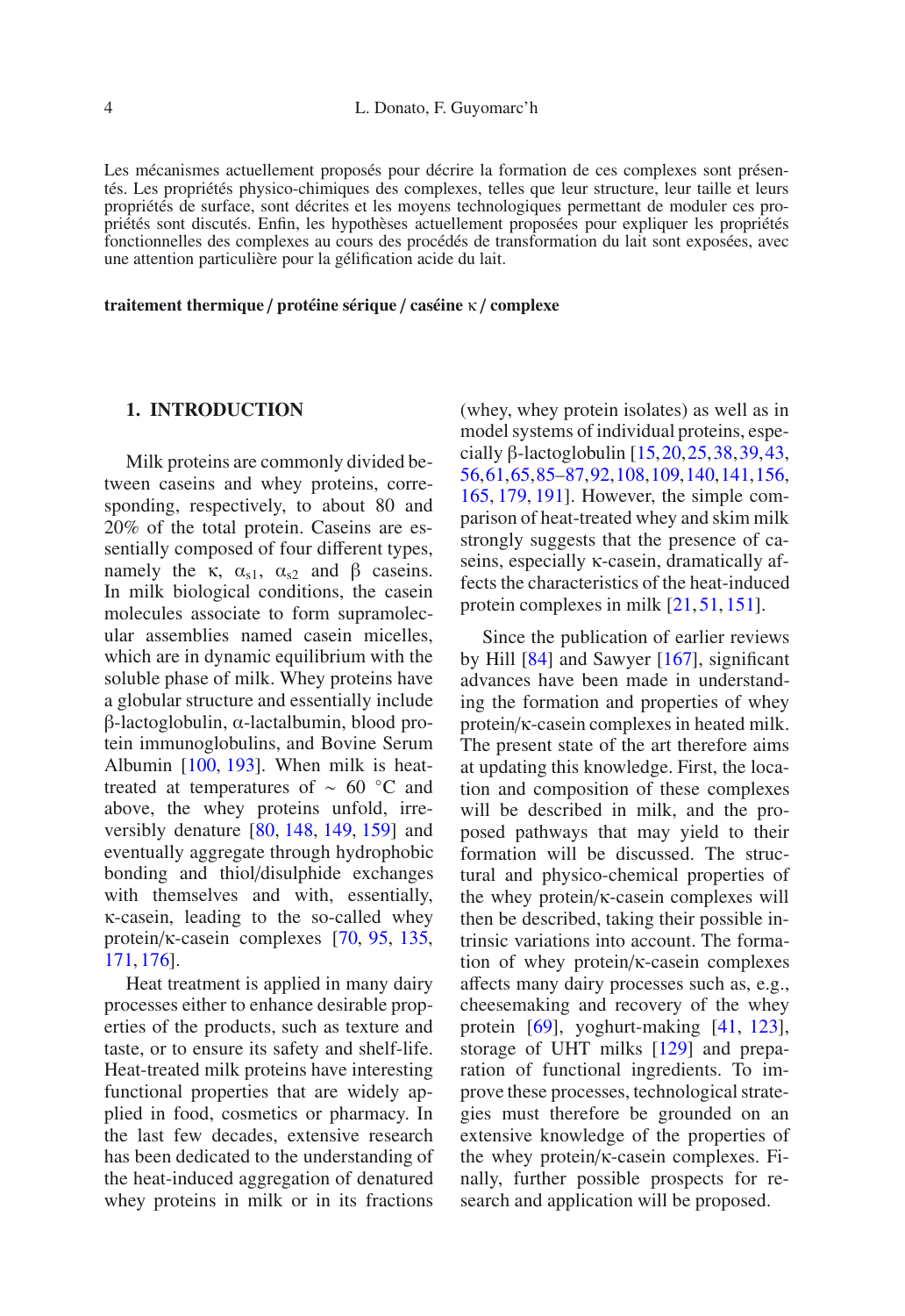Les mécanismes actuellement proposés pour décrire la formation de ces complexes sont présentés. Les propriétés physico-chimiques des complexes, telles que leur structure, leur taille et leurs propriétés de surface, sont décrites et les moyens technologiques permettant de moduler ces propriétés sont discutés. Enfin, les hypothèses actuellement proposées pour expliquer les propriétés fonctionnelles des complexes au cours des procédés de transformation du lait sont exposées, avec une attention particulière pour la gélification acide du lait.

#### **traitement thermique** / **protéine sérique** / **caséine** κ / **complexe**

## **1. INTRODUCTION**

Milk proteins are commonly divided between caseins and whey proteins, corresponding, respectively, to about 80 and 20% of the total protein. Caseins are essentially composed of four different types, namely the κ,  $\alpha_{s1}$ ,  $\alpha_{s2}$  and β caseins. In milk biological conditions, the casein molecules associate to form supramolecular assemblies named casein micelles, which are in dynamic equilibrium with the soluble phase of milk. Whey proteins have a globular structure and essentially include β-lactoglobulin, α-lactalbumin, blood protein immunoglobulins, and Bovine Serum Albumin [\[100,](#page-22-0) [193\]](#page-26-0). When milk is heattreated at temperatures of ∼ 60 ◦C and above, the whey proteins unfold, irreversibly denature [\[80](#page-22-1), [148,](#page-24-0) [149,](#page-24-1) [159\]](#page-25-0) and eventually aggregate through hydrophobic bonding and thiol/disulphide exchanges with themselves and with, essentially, κ-casein, leading to the so-called whey protein/κ-casein complexes [\[70,](#page-21-0) [95,](#page-22-2) [135,](#page-24-2) [171,](#page-25-1) [176\]](#page-26-1).

Heat treatment is applied in many dairy processes either to enhance desirable properties of the products, such as texture and taste, or to ensure its safety and shelf-life. Heat-treated milk proteins have interesting functional properties that are widely applied in food, cosmetics or pharmacy. In the last few decades, extensive research has been dedicated to the understanding of the heat-induced aggregation of denatured whey proteins in milk or in its fractions (whey, whey protein isolates) as well as in model systems of individual proteins, especially β-lactoglobulin  $[15, 20, 25, 38, 39, 43,$  $[15, 20, 25, 38, 39, 43,$  $[15, 20, 25, 38, 39, 43,$  $[15, 20, 25, 38, 39, 43,$  $[15, 20, 25, 38, 39, 43,$  $[15, 20, 25, 38, 39, 43,$  $[15, 20, 25, 38, 39, 43,$ [56](#page-20-3)[,61](#page-21-1)[,65](#page-21-2)[,85](#page-22-3)[–87](#page-22-4)[,92](#page-22-5)[,108,](#page-23-0)[109,](#page-23-1)[140,](#page-24-3)[141,](#page-24-4)[156,](#page-25-2) [165](#page-25-3), [179,](#page-26-2) [191\]](#page-26-3). However, the simple comparison of heat-treated whey and skim milk strongly suggests that the presence of caseins, especially κ-casein, dramatically affects the characteristics of the heat-induced protein complexes in milk [\[21,](#page-19-3) [51,](#page-20-4) [151\]](#page-24-5).

Since the publication of earlier reviews by Hill  $[84]$  and Sawyer  $[167]$ , significant advances have been made in understanding the formation and properties of whey protein/κ-casein complexes in heated milk. The present state of the art therefore aims at updating this knowledge. First, the location and composition of these complexes will be described in milk, and the proposed pathways that may yield to their formation will be discussed. The structural and physico-chemical properties of the whey protein/κ-casein complexes will then be described, taking their possible intrinsic variations into account. The formation of whey protein/κ-casein complexes affects many dairy processes such as, e.g., cheesemaking and recovery of the whey protein [\[69\]](#page-21-3), yoghurt-making [\[41](#page-20-5), [123\]](#page-23-2), storage of UHT milks [\[129\]](#page-24-6) and preparation of functional ingredients. To improve these processes, technological strategies must therefore be grounded on an extensive knowledge of the properties of the whey protein/κ-casein complexes. Finally, further possible prospects for research and application will be proposed.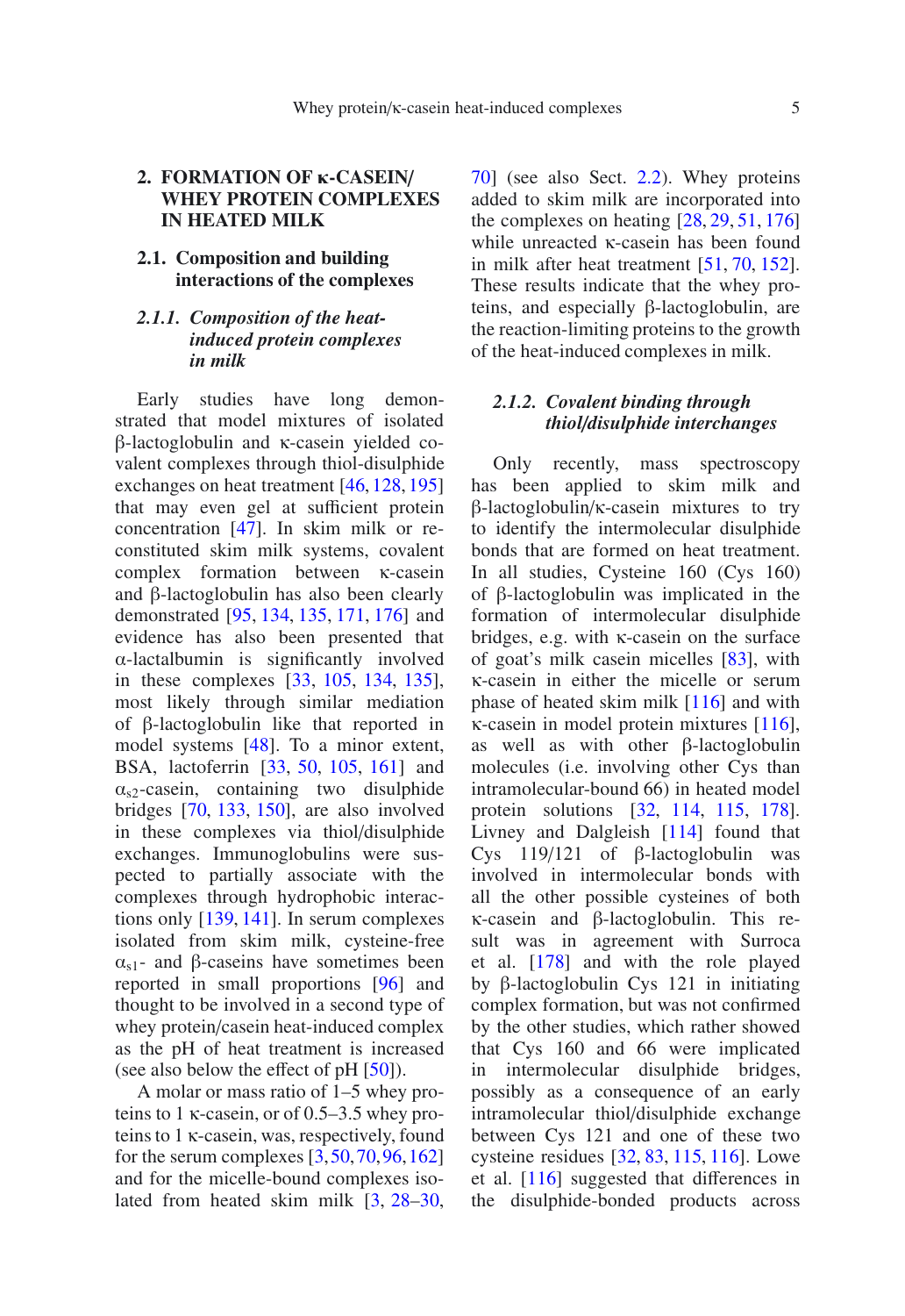# **2. FORMATION OF** κ**-CASEIN**/ **WHEY PROTEIN COMPLEXES IN HEATED MILK**

## **2.1. Composition and building interactions of the complexes**

# <span id="page-2-0"></span>*2.1.1. Composition of the heatinduced protein complexes in milk*

Early studies have long demonstrated that model mixtures of isolated β-lactoglobulin and κ-casein yielded covalent complexes through thiol-disulphide exchanges on heat treatment [\[46,](#page-20-6) [128,](#page-24-7) [195](#page-26-4)] that may even gel at sufficient protein concentration [\[47](#page-20-7)]. In skim milk or reconstituted skim milk systems, covalent complex formation between κ-casein and β-lactoglobulin has also been clearly demonstrated [\[95](#page-22-2), [134,](#page-24-8) [135](#page-24-2), [171,](#page-25-1) [176](#page-26-1)] and evidence has also been presented that α-lactalbumin is significantly involved in these complexes [\[33,](#page-19-4) [105,](#page-23-3) [134,](#page-24-8) [135\]](#page-24-2), most likely through similar mediation of β-lactoglobulin like that reported in model systems [\[48](#page-20-8)]. To a minor extent, BSA, lactoferrin [\[33,](#page-19-4) [50](#page-20-9), [105](#page-23-3), [161](#page-25-5)] and  $\alpha_{s2}$ -casein, containing two disulphide bridges [\[70,](#page-21-0) [133](#page-24-9), [150](#page-24-10)], are also involved in these complexes via thiol/disulphide exchanges. Immunoglobulins were suspected to partially associate with the complexes through hydrophobic interactions only [\[139,](#page-24-11) [141\]](#page-24-4). In serum complexes isolated from skim milk, cysteine-free  $α<sub>s1</sub>$ - and β-caseins have sometimes been reported in small proportions [\[96\]](#page-22-7) and thought to be involved in a second type of whey protein/casein heat-induced complex as the pH of heat treatment is increased (see also below the effect of  $pH [50]$  $pH [50]$  $pH [50]$ ).

A molar or mass ratio of 1–5 whey proteins to 1 κ-casein, or of 0.5–3.5 whey proteins to 1 κ-casein, was, respectively, found for the serum complexes [\[3,](#page-18-0)[50](#page-20-9)[,70,](#page-21-0)[96](#page-22-7)[,162](#page-25-6)] and for the micelle-bound complexes isolated from heated skim milk [\[3,](#page-18-0) [28](#page-19-5)[–30](#page-19-6), [70\]](#page-21-0) (see also Sect. [2.2\)](#page-3-0). Whey proteins added to skim milk are incorporated into the complexes on heating [\[28](#page-19-5), [29](#page-19-7), [51,](#page-20-4) [176\]](#page-26-1) while unreacted κ-casein has been found in milk after heat treatment [\[51](#page-20-4), [70,](#page-21-0) [152\]](#page-24-12). These results indicate that the whey proteins, and especially β-lactoglobulin, are the reaction-limiting proteins to the growth of the heat-induced complexes in milk.

## *2.1.2. Covalent binding through thiol*/*disulphide interchanges*

Only recently, mass spectroscopy has been applied to skim milk and β-lactoglobulin/κ-casein mixtures to try to identify the intermolecular disulphide bonds that are formed on heat treatment. In all studies, Cysteine 160 (Cys 160) of β-lactoglobulin was implicated in the formation of intermolecular disulphide bridges, e.g. with κ-casein on the surface of goat's milk casein micelles [\[83](#page-22-8)], with κ-casein in either the micelle or serum phase of heated skim milk [\[116](#page-23-4)] and with κ-casein in model protein mixtures [\[116\]](#page-23-4), as well as with other β-lactoglobulin molecules (i.e. involving other Cys than intramolecular-bound 66) in heated model protein solutions [\[32,](#page-19-8) [114](#page-23-5), [115](#page-23-6), [178\]](#page-26-5). Livney and Dalgleish [\[114\]](#page-23-5) found that Cys 119/121 of β-lactoglobulin was involved in intermolecular bonds with all the other possible cysteines of both κ-casein and β-lactoglobulin. This result was in agreement with Surroca et al. [\[178\]](#page-26-5) and with the role played by β-lactoglobulin Cys 121 in initiating complex formation, but was not confirmed by the other studies, which rather showed that Cys 160 and 66 were implicated in intermolecular disulphide bridges, possibly as a consequence of an early intramolecular thiol/disulphide exchange between Cys 121 and one of these two cysteine residues [\[32](#page-19-8), [83,](#page-22-8) [115,](#page-23-6) [116](#page-23-4)]. Lowe et al. [\[116\]](#page-23-4) suggested that differences in the disulphide-bonded products across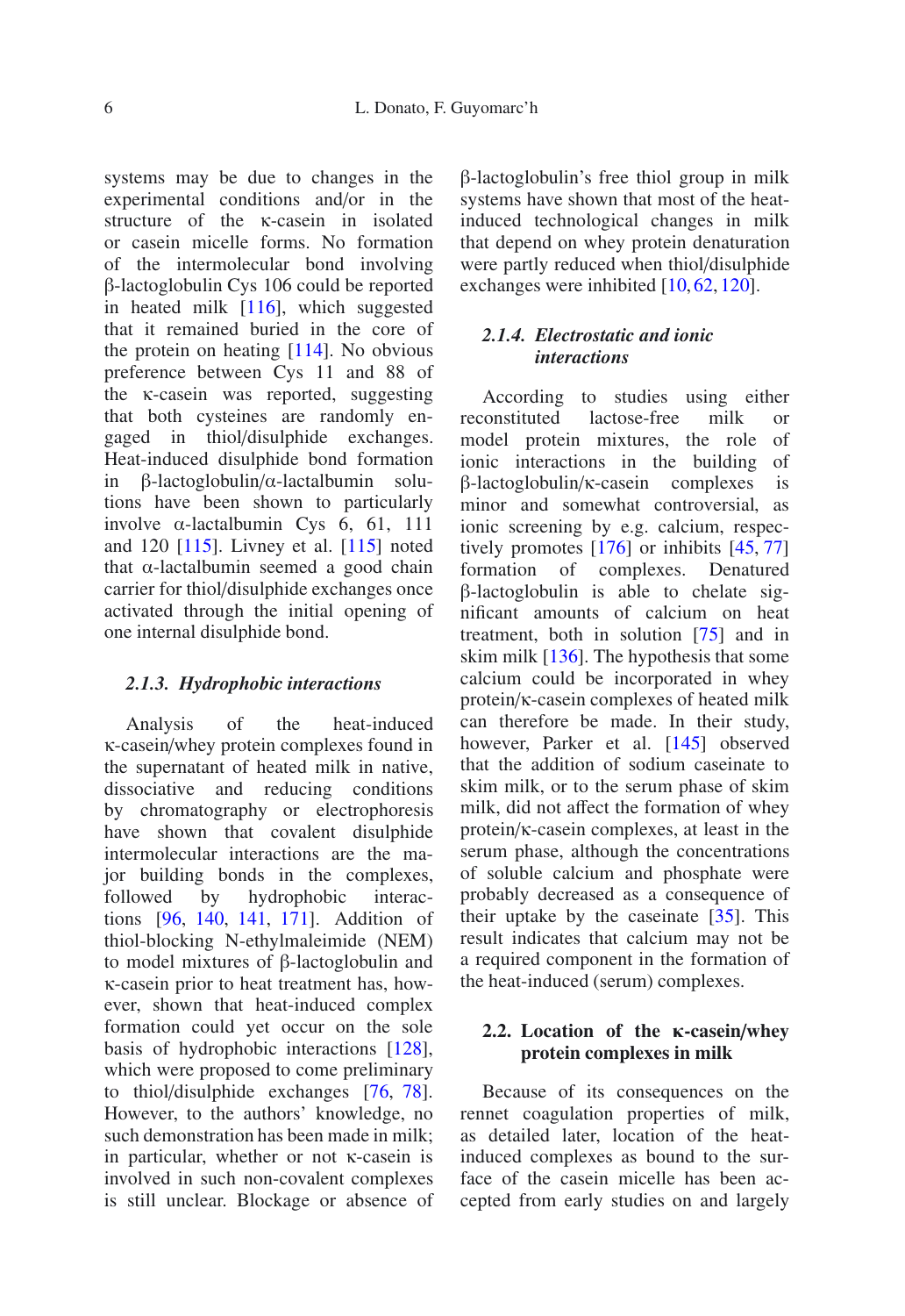systems may be due to changes in the experimental conditions and/or in the structure of the κ-casein in isolated or casein micelle forms. No formation of the intermolecular bond involving β-lactoglobulin Cys 106 could be reported in heated milk [\[116\]](#page-23-4), which suggested that it remained buried in the core of the protein on heating [\[114\]](#page-23-5). No obvious preference between Cys 11 and 88 of the κ-casein was reported, suggesting that both cysteines are randomly engaged in thiol/disulphide exchanges. Heat-induced disulphide bond formation in β-lactoglobulin/α-lactalbumin solutions have been shown to particularly involve  $\alpha$ -lactalbumin Cys 6, 61, 111 and 120 [\[115\]](#page-23-6). Livney et al. [\[115\]](#page-23-6) noted that α-lactalbumin seemed a good chain carrier for thiol/disulphide exchanges once activated through the initial opening of one internal disulphide bond.

### *2.1.3. Hydrophobic interactions*

Analysis of the heat-induced κ-casein/whey protein complexes found in the supernatant of heated milk in native, dissociative and reducing conditions by chromatography or electrophoresis have shown that covalent disulphide intermolecular interactions are the major building bonds in the complexes, followed by hydrophobic interactions [\[96,](#page-22-7) [140,](#page-24-3) [141,](#page-24-4) [171\]](#page-25-1). Addition of thiol-blocking N-ethylmaleimide (NEM) to model mixtures of β-lactoglobulin and κ-casein prior to heat treatment has, however, shown that heat-induced complex formation could yet occur on the sole basis of hydrophobic interactions [\[128](#page-24-7)], which were proposed to come preliminary to thiol/disulphide exchanges [\[76](#page-21-4), [78](#page-21-5)]. However, to the authors' knowledge, no such demonstration has been made in milk; in particular, whether or not κ-casein is involved in such non-covalent complexes is still unclear. Blockage or absence of

β-lactoglobulin's free thiol group in milk systems have shown that most of the heatinduced technological changes in milk that depend on whey protein denaturation were partly reduced when thiol/disulphide exchanges were inhibited [\[10,](#page-18-1) [62,](#page-21-6) [120\]](#page-23-7).

# *2.1.4. Electrostatic and ionic interactions*

According to studies using either reconstituted lactose-free milk or model protein mixtures, the role of ionic interactions in the building of β-lactoglobulin/κ-casein complexes is minor and somewhat controversial, as ionic screening by e.g. calcium, respectively promotes [\[176\]](#page-26-1) or inhibits [\[45](#page-20-10), [77\]](#page-21-7) formation of complexes. Denatured β-lactoglobulin is able to chelate significant amounts of calcium on heat treatment, both in solution [\[75\]](#page-21-8) and in skim milk [\[136\]](#page-24-13). The hypothesis that some calcium could be incorporated in whey protein/κ-casein complexes of heated milk can therefore be made. In their study, however, Parker et al. [\[145](#page-24-14)] observed that the addition of sodium caseinate to skim milk, or to the serum phase of skim milk, did not affect the formation of whey protein/κ-casein complexes, at least in the serum phase, although the concentrations of soluble calcium and phosphate were probably decreased as a consequence of their uptake by the caseinate  $[35]$ . This result indicates that calcium may not be a required component in the formation of the heat-induced (serum) complexes.

# **2.2. Location of the** κ**-casein**/**whey protein complexes in milk**

<span id="page-3-0"></span>Because of its consequences on the rennet coagulation properties of milk, as detailed later, location of the heatinduced complexes as bound to the surface of the casein micelle has been accepted from early studies on and largely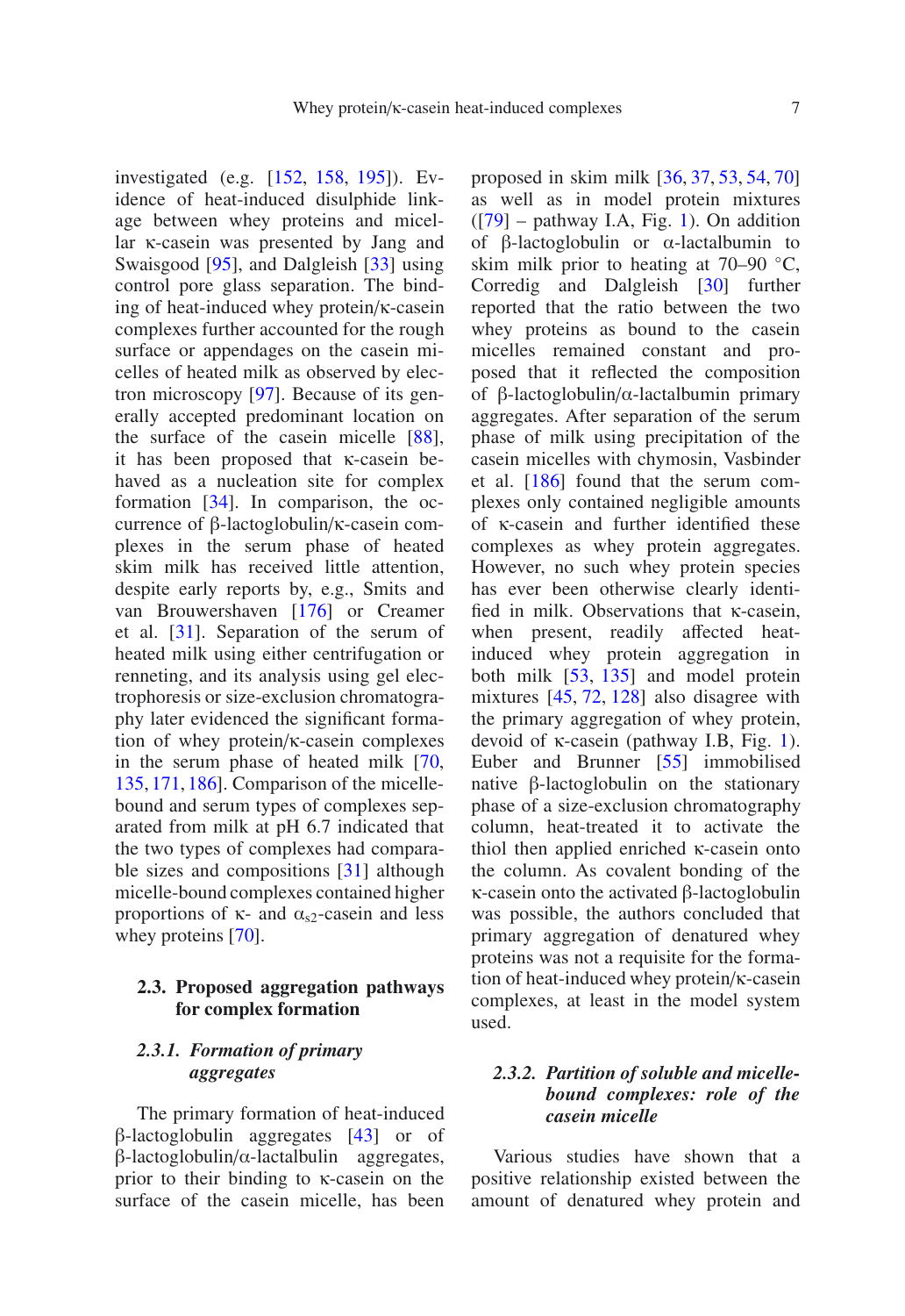investigated (e.g. [\[152,](#page-24-12) [158,](#page-25-7) [195\]](#page-26-4)). Evidence of heat-induced disulphide linkage between whey proteins and micellar κ-casein was presented by Jang and Swaisgood [\[95\]](#page-22-2), and Dalgleish [\[33](#page-19-4)] using control pore glass separation. The binding of heat-induced whey protein/κ-casein complexes further accounted for the rough surface or appendages on the casein micelles of heated milk as observed by electron microscopy [\[97\]](#page-22-9). Because of its generally accepted predominant location on the surface of the casein micelle [\[88\]](#page-22-10), it has been proposed that κ-casein behaved as a nucleation site for complex formation [\[34\]](#page-20-12). In comparison, the occurrence of β-lactoglobulin/κ-casein complexes in the serum phase of heated skim milk has received little attention, despite early reports by, e.g., Smits and van Brouwershaven [\[176\]](#page-26-1) or Creamer et al. [\[31\]](#page-19-9). Separation of the serum of heated milk using either centrifugation or renneting, and its analysis using gel electrophoresis or size-exclusion chromatography later evidenced the significant formation of whey protein/κ-casein complexes in the serum phase of heated milk [\[70](#page-21-0), [135,](#page-24-2) [171](#page-25-1), [186\]](#page-26-6). Comparison of the micellebound and serum types of complexes separated from milk at pH 6.7 indicated that the two types of complexes had comparable sizes and compositions [\[31\]](#page-19-9) although micelle-bound complexes contained higher proportions of κ- and  $α<sub>s2</sub>$ -casein and less whey proteins [\[70\]](#page-21-0).

## **2.3. Proposed aggregation pathways for complex formation**

## *2.3.1. Formation of primary aggregates*

<span id="page-4-1"></span>The primary formation of heat-induced β-lactoglobulin aggregates  $[43]$  or of β-lactoglobulin/α-lactalbulin aggregates, prior to their binding to κ-casein on the surface of the casein micelle, has been proposed in skim milk [\[36,](#page-20-13) [37](#page-20-14), [53,](#page-20-15) [54](#page-20-16), [70\]](#page-21-0) as well as in model protein mixtures  $([79] - \text{pathway I.A, Fig. 1). On addition}$  $([79] - \text{pathway I.A, Fig. 1). On addition}$  $([79] - \text{pathway I.A, Fig. 1). On addition}$  $([79] - \text{pathway I.A, Fig. 1). On addition}$  $([79] - \text{pathway I.A, Fig. 1). On addition}$ of β-lactoglobulin or α-lactalbumin to skim milk prior to heating at 70–90 ◦C, Corredig and Dalgleish [\[30\]](#page-19-6) further reported that the ratio between the two whey proteins as bound to the casein micelles remained constant and proposed that it reflected the composition of β-lactoglobulin/α-lactalbumin primary aggregates. After separation of the serum phase of milk using precipitation of the casein micelles with chymosin, Vasbinder et al. [\[186\]](#page-26-6) found that the serum complexes only contained negligible amounts of κ-casein and further identified these complexes as whey protein aggregates. However, no such whey protein species has ever been otherwise clearly identified in milk. Observations that κ-casein, when present, readily affected heatinduced whey protein aggregation in both milk  $\begin{bmatrix} 53, 135 \end{bmatrix}$  and model protein mixtures [\[45](#page-20-10), [72](#page-21-10), [128\]](#page-24-7) also disagree with the primary aggregation of whey protein, devoid of κ-casein (pathway I.B, Fig. [1\)](#page-5-0). Euber and Brunner [\[55\]](#page-20-17) immobilised native β-lactoglobulin on the stationary phase of a size-exclusion chromatography column, heat-treated it to activate the thiol then applied enriched κ-casein onto the column. As covalent bonding of the κ-casein onto the activated β-lactoglobulin was possible, the authors concluded that primary aggregation of denatured whey proteins was not a requisite for the formation of heat-induced whey protein/κ-casein complexes, at least in the model system used.

## <span id="page-4-0"></span>*2.3.2. Partition of soluble and micellebound complexes: role of the casein micelle*

Various studies have shown that a positive relationship existed between the amount of denatured whey protein and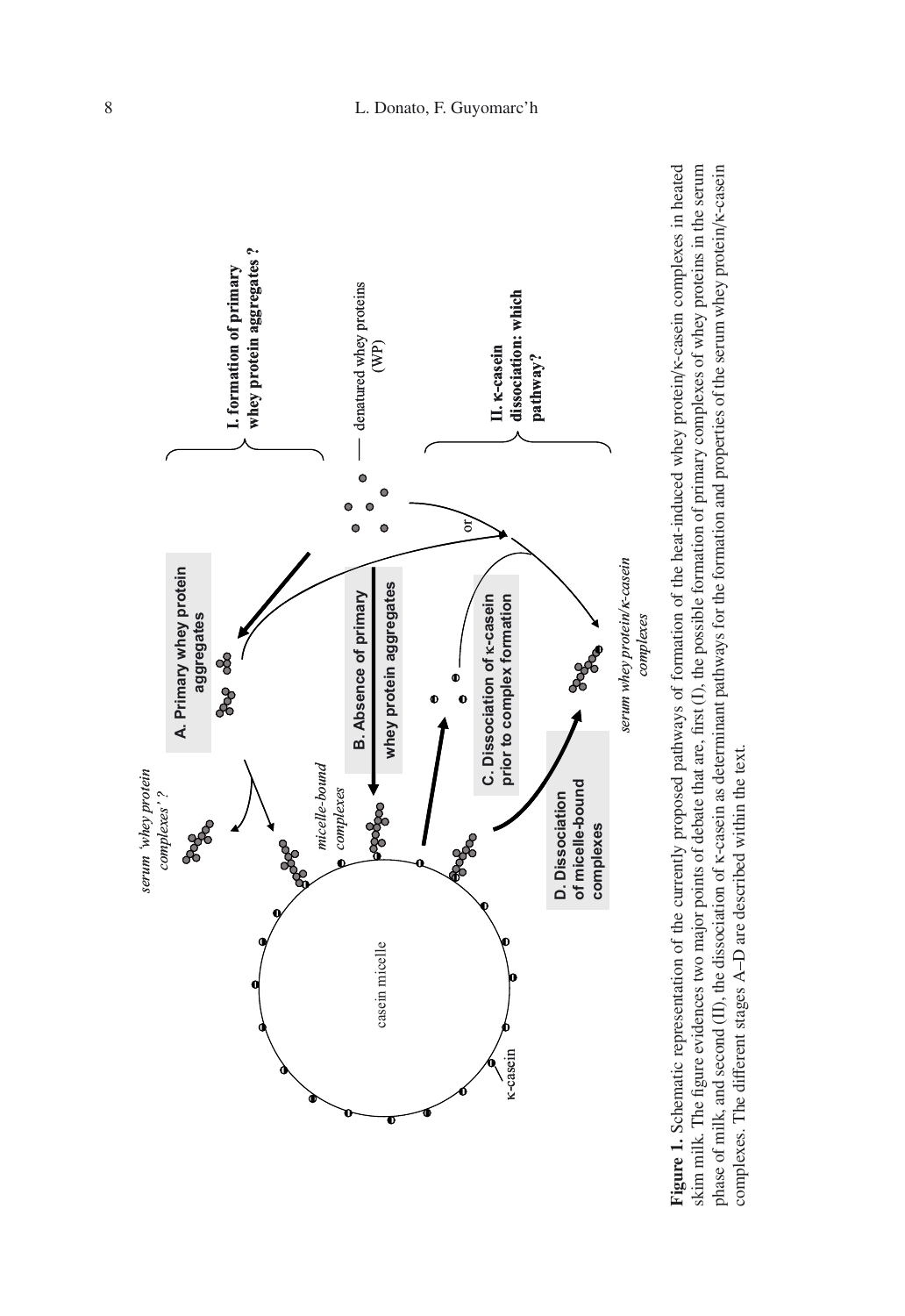<span id="page-5-0"></span>

Figure 1. Schematic representation of the currently proposed pathways of formation of the heat-induced whey protein/s-casein complexes in heated skim milk. The figure evidences two major points of debate that are, first (I), the possible formation of primary complexes of whey proteins in the serum phase of milk, and second (II), the dissociation of k-casein as determinant pathways for the formation and properties of the serum whey protein/k-casein **Figure 1.** Schematic representation of the currently proposed pathways of formation of the heat-induced whey protein/κ-casein complexes in heated skim milk. The figure evidences two major points of debate that are, first (I), the possible formation of primary complexes of whey proteins in the serum κ-casein as determinant pathways for the formation and properties of the serum whey protein/κ-casein complexes. The different stages A-D are described within the text. fferent stages A–D are described within the text.phase of milk, and second (II), the dissociation of complexes. The di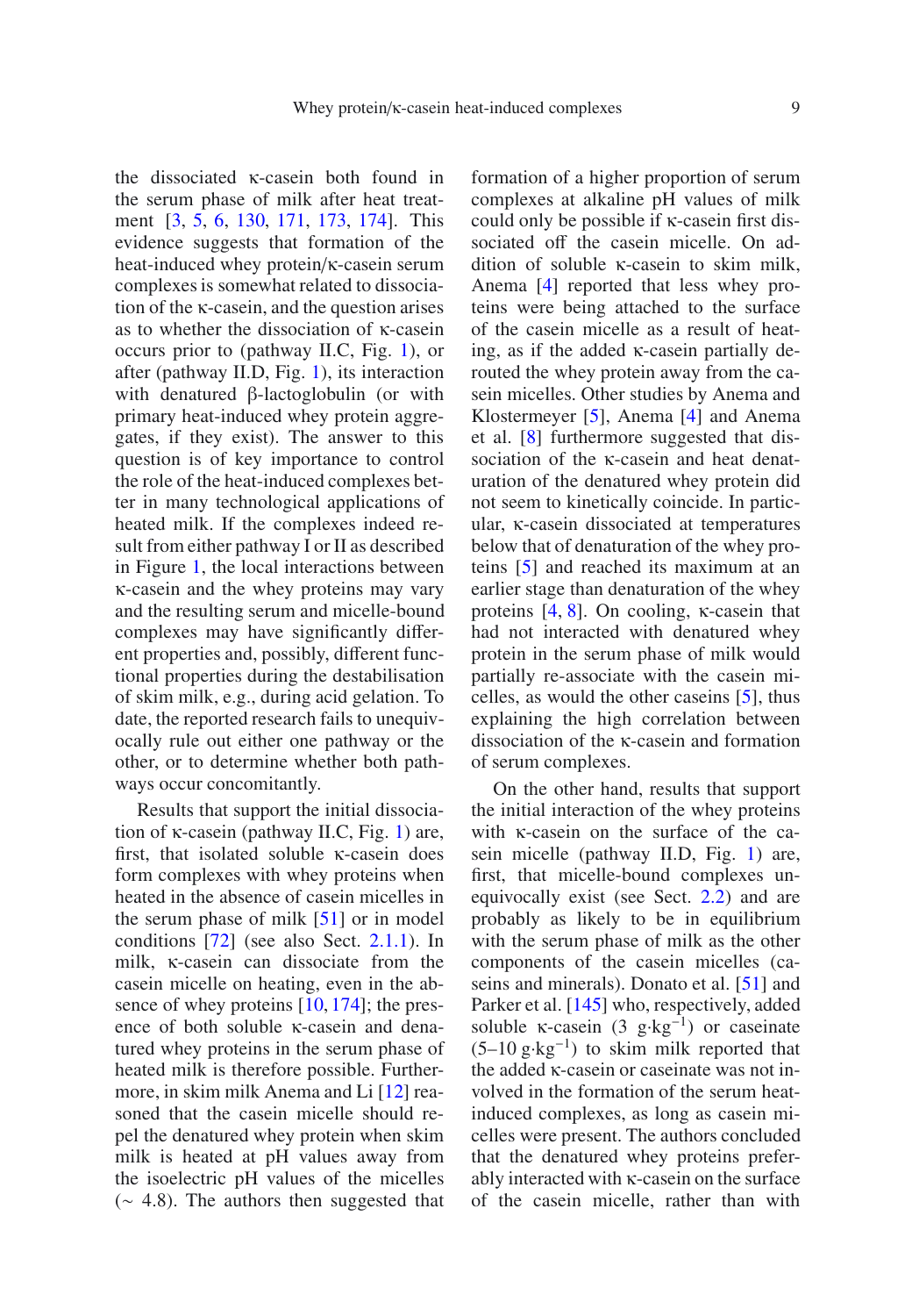the dissociated κ-casein both found in the serum phase of milk after heat treatment [\[3,](#page-18-0) [5,](#page-18-2) [6,](#page-18-3) [130,](#page-24-15) [171](#page-25-1), [173](#page-25-8), [174](#page-25-9)]. This evidence suggests that formation of the heat-induced whey protein/κ-casein serum complexes is somewhat related to dissociation of the κ-casein, and the question arises as to whether the dissociation of κ-casein occurs prior to (pathway II.C, Fig. [1\)](#page-5-0), or after (pathway II.D, Fig. [1\)](#page-5-0), its interaction with denatured β-lactoglobulin (or with primary heat-induced whey protein aggregates, if they exist). The answer to this question is of key importance to control the role of the heat-induced complexes better in many technological applications of heated milk. If the complexes indeed result from either pathway I or II as described in Figure [1,](#page-5-0) the local interactions between κ-casein and the whey proteins may vary and the resulting serum and micelle-bound complexes may have significantly different properties and, possibly, different functional properties during the destabilisation of skim milk, e.g., during acid gelation. To date, the reported research fails to unequivocally rule out either one pathway or the other, or to determine whether both pathways occur concomitantly.

Results that support the initial dissociation of κ-casein (pathway II.C, Fig. [1\)](#page-5-0) are, first, that isolated soluble κ-casein does form complexes with whey proteins when heated in the absence of casein micelles in the serum phase of milk [\[51](#page-20-4)] or in model conditions [\[72\]](#page-21-10) (see also Sect. [2.1.1\)](#page-2-0). In milk, κ-casein can dissociate from the casein micelle on heating, even in the ab-sence of whey proteins [\[10,](#page-18-1) [174](#page-25-9)]; the presence of both soluble κ-casein and denatured whey proteins in the serum phase of heated milk is therefore possible. Furthermore, in skim milk Anema and Li [\[12\]](#page-19-10) reasoned that the casein micelle should repel the denatured whey protein when skim milk is heated at pH values away from the isoelectric pH values of the micelles (∼ 4.8). The authors then suggested that formation of a higher proportion of serum complexes at alkaline pH values of milk could only be possible if κ-casein first dissociated off the casein micelle. On addition of soluble κ-casein to skim milk, Anema [\[4\]](#page-18-4) reported that less whey proteins were being attached to the surface of the casein micelle as a result of heating, as if the added κ-casein partially derouted the whey protein away from the casein micelles. Other studies by Anema and Klostermeyer [\[5\]](#page-18-2), Anema [\[4\]](#page-18-4) and Anema et al. [\[8](#page-18-5)] furthermore suggested that dissociation of the κ-casein and heat denaturation of the denatured whey protein did not seem to kinetically coincide. In particular, κ-casein dissociated at temperatures below that of denaturation of the whey proteins [\[5\]](#page-18-2) and reached its maximum at an earlier stage than denaturation of the whey proteins [\[4](#page-18-4), [8](#page-18-5)]. On cooling, κ-casein that had not interacted with denatured whey protein in the serum phase of milk would partially re-associate with the casein micelles, as would the other caseins [\[5\]](#page-18-2), thus explaining the high correlation between dissociation of the κ-casein and formation of serum complexes.

On the other hand, results that support the initial interaction of the whey proteins with κ-casein on the surface of the casein micelle (pathway II.D, Fig. [1\)](#page-5-0) are, first, that micelle-bound complexes unequivocally exist (see Sect. [2.2\)](#page-3-0) and are probably as likely to be in equilibrium with the serum phase of milk as the other components of the casein micelles (caseins and minerals). Donato et al. [\[51\]](#page-20-4) and Parker et al. [\[145](#page-24-14)] who, respectively, added soluble  $\kappa$ -casein (3 g·kg<sup>-1</sup>) or caseinate  $(5-10 \text{ g} \cdot \text{kg}^{-1})$  to skim milk reported that the added κ-casein or caseinate was not involved in the formation of the serum heatinduced complexes, as long as casein micelles were present. The authors concluded that the denatured whey proteins preferably interacted with κ-casein on the surface of the casein micelle, rather than with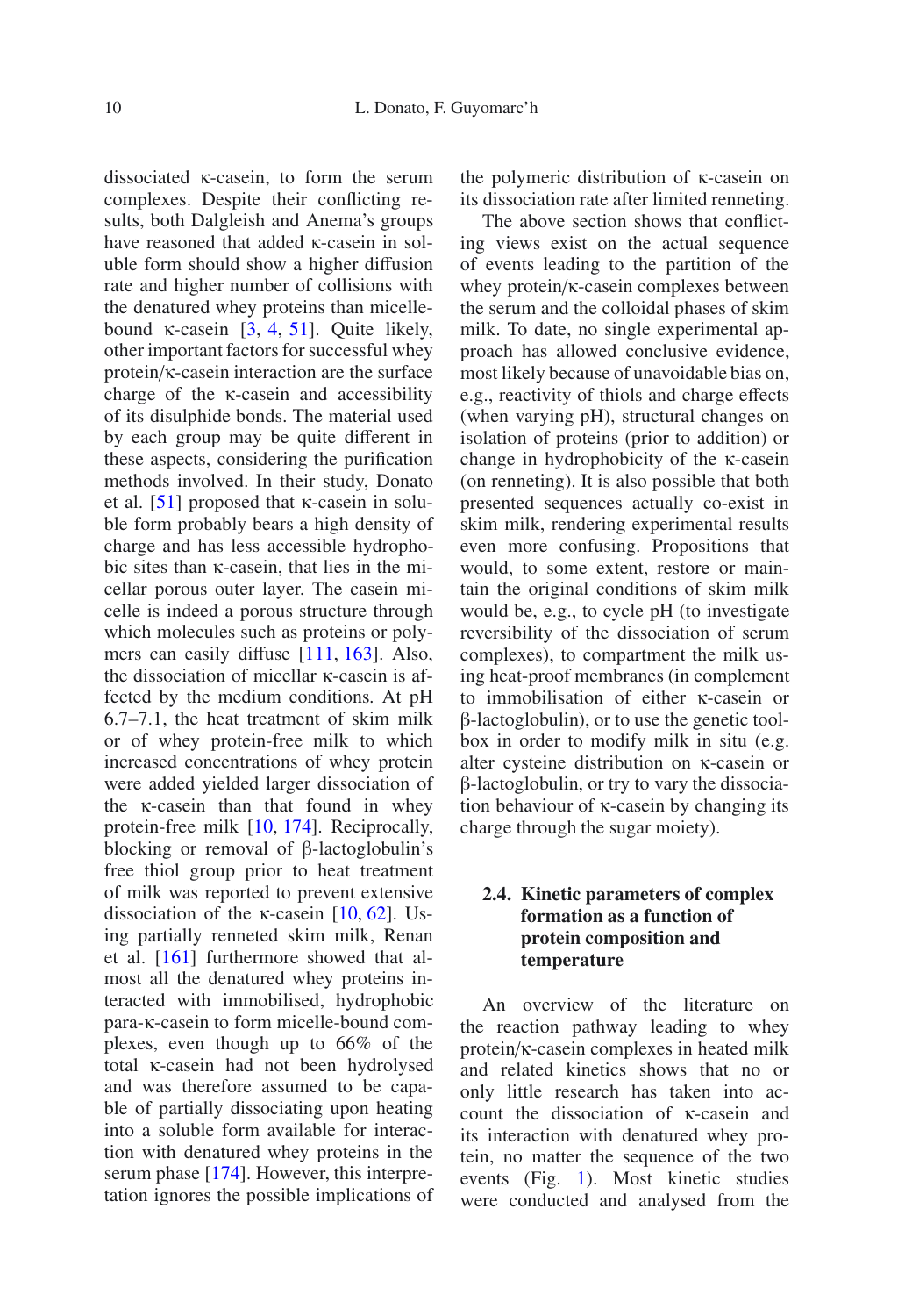dissociated κ-casein, to form the serum complexes. Despite their conflicting results, both Dalgleish and Anema's groups have reasoned that added κ-casein in soluble form should show a higher diffusion rate and higher number of collisions with the denatured whey proteins than micellebound  $\kappa$ -casein [\[3,](#page-18-0) [4,](#page-18-4) [51\]](#page-20-4). Quite likely, other important factors for successful whey protein/κ-casein interaction are the surface charge of the κ-casein and accessibility of its disulphide bonds. The material used by each group may be quite different in these aspects, considering the purification methods involved. In their study, Donato et al. [\[51\]](#page-20-4) proposed that κ-casein in soluble form probably bears a high density of charge and has less accessible hydrophobic sites than κ-casein, that lies in the micellar porous outer layer. The casein micelle is indeed a porous structure through which molecules such as proteins or polymers can easily diffuse [\[111,](#page-23-8) [163\]](#page-25-10). Also, the dissociation of micellar κ-casein is affected by the medium conditions. At pH 6.7–7.1, the heat treatment of skim milk or of whey protein-free milk to which increased concentrations of whey protein were added yielded larger dissociation of the κ-casein than that found in whey protein-free milk [\[10](#page-18-1), [174](#page-25-9)]. Reciprocally, blocking or removal of β-lactoglobulin's free thiol group prior to heat treatment of milk was reported to prevent extensive dissociation of the  $\kappa$ -casein [\[10,](#page-18-1) [62\]](#page-21-6). Using partially renneted skim milk, Renan et al. [\[161\]](#page-25-5) furthermore showed that almost all the denatured whey proteins interacted with immobilised, hydrophobic para-κ-casein to form micelle-bound complexes, even though up to 66% of the total κ-casein had not been hydrolysed and was therefore assumed to be capable of partially dissociating upon heating into a soluble form available for interaction with denatured whey proteins in the serum phase [\[174](#page-25-9)]. However, this interpretation ignores the possible implications of the polymeric distribution of κ-casein on its dissociation rate after limited renneting.

The above section shows that conflicting views exist on the actual sequence of events leading to the partition of the whey protein/κ-casein complexes between the serum and the colloidal phases of skim milk. To date, no single experimental approach has allowed conclusive evidence, most likely because of unavoidable bias on, e.g., reactivity of thiols and charge effects (when varying pH), structural changes on isolation of proteins (prior to addition) or change in hydrophobicity of the κ-casein (on renneting). It is also possible that both presented sequences actually co-exist in skim milk, rendering experimental results even more confusing. Propositions that would, to some extent, restore or maintain the original conditions of skim milk would be, e.g., to cycle pH (to investigate reversibility of the dissociation of serum complexes), to compartment the milk using heat-proof membranes (in complement to immobilisation of either κ-casein or β-lactoglobulin), or to use the genetic toolbox in order to modify milk in situ (e.g. alter cysteine distribution on κ-casein or β-lactoglobulin, or try to vary the dissociation behaviour of κ-casein by changing its charge through the sugar moiety).

## **2.4. Kinetic parameters of complex formation as a function of protein composition and temperature**

An overview of the literature on the reaction pathway leading to whey protein/κ-casein complexes in heated milk and related kinetics shows that no or only little research has taken into account the dissociation of κ-casein and its interaction with denatured whey protein, no matter the sequence of the two events (Fig. [1\)](#page-5-0). Most kinetic studies were conducted and analysed from the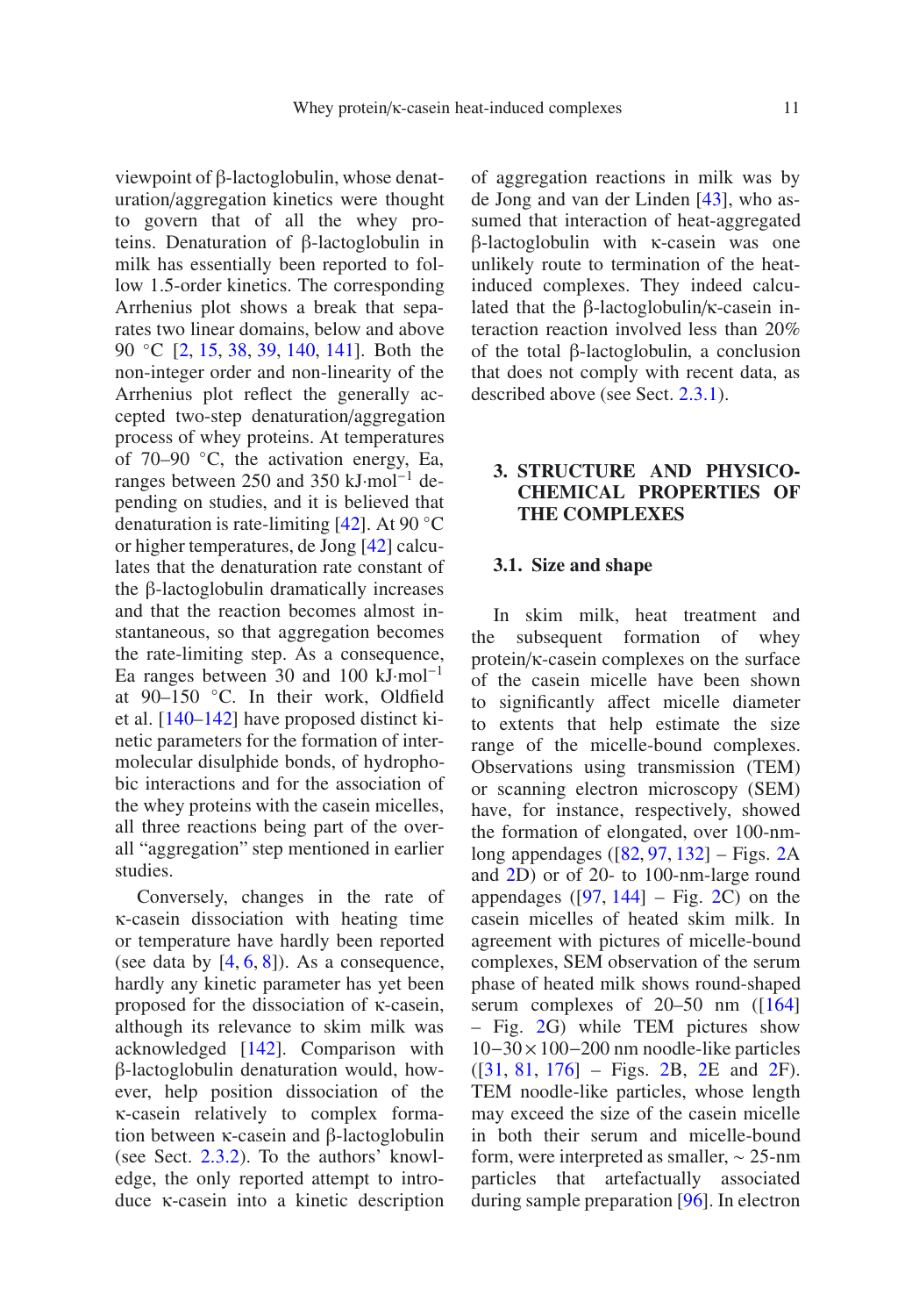viewpoint of β-lactoglobulin, whose denaturation/aggregation kinetics were thought to govern that of all the whey proteins. Denaturation of β-lactoglobulin in milk has essentially been reported to follow 1.5-order kinetics. The corresponding Arrhenius plot shows a break that separates two linear domains, below and above 90 °C [\[2,](#page-18-6) [15,](#page-19-0) [38,](#page-20-0) [39,](#page-20-1) [140,](#page-24-3) [141](#page-24-4)]. Both the non-integer order and non-linearity of the Arrhenius plot reflect the generally accepted two-step denaturation/aggregation process of whey proteins. At temperatures of 70–90 ◦C, the activation energy, Ea, ranges between 250 and 350 kJ·mol−<sup>1</sup> depending on studies, and it is believed that denaturation is rate-limiting  $[42]$  $[42]$ . At 90 °C or higher temperatures, de Jong [\[42\]](#page-20-18) calculates that the denaturation rate constant of the β-lactoglobulin dramatically increases and that the reaction becomes almost instantaneous, so that aggregation becomes the rate-limiting step. As a consequence, Ea ranges between 30 and 100 kJ·mol−<sup>1</sup> at 90–150 ◦C. In their work, Oldfield et al. [\[140](#page-24-3)[–142](#page-24-16)] have proposed distinct kinetic parameters for the formation of intermolecular disulphide bonds, of hydrophobic interactions and for the association of the whey proteins with the casein micelles, all three reactions being part of the overall "aggregation" step mentioned in earlier studies.

Conversely, changes in the rate of κ-casein dissociation with heating time or temperature have hardly been reported (see data by  $[4, 6, 8]$  $[4, 6, 8]$  $[4, 6, 8]$  $[4, 6, 8]$  $[4, 6, 8]$ ). As a consequence, hardly any kinetic parameter has yet been proposed for the dissociation of κ-casein, although its relevance to skim milk was acknowledged [\[142\]](#page-24-16). Comparison with β-lactoglobulin denaturation would, however, help position dissociation of the κ-casein relatively to complex formation between κ-casein and β-lactoglobulin (see Sect. [2.3.2\)](#page-4-0). To the authors' knowledge, the only reported attempt to introduce κ-casein into a kinetic description of aggregation reactions in milk was by de Jong and van der Linden [\[43](#page-20-2)], who assumed that interaction of heat-aggregated β-lactoglobulin with κ-casein was one unlikely route to termination of the heatinduced complexes. They indeed calculated that the β-lactoglobulin/κ-casein interaction reaction involved less than 20% of the total β-lactoglobulin, a conclusion that does not comply with recent data, as described above (see Sect. [2.3.1\)](#page-4-1).

# **3. STRUCTURE AND PHYSICO-CHEMICAL PROPERTIES OF THE COMPLEXES**

#### **3.1. Size and shape**

In skim milk, heat treatment and the subsequent formation of whey protein/κ-casein complexes on the surface of the casein micelle have been shown to significantly affect micelle diameter to extents that help estimate the size range of the micelle-bound complexes. Observations using transmission (TEM) or scanning electron microscopy (SEM) have, for instance, respectively, showed the formation of elongated, over 100-nmlong appendages ([\[82,](#page-22-11) [97](#page-22-9), [132](#page-24-17)] – Figs. [2A](#page-9-0) and [2D](#page-9-0)) or of 20- to 100-nm-large round appendages ( $[97, 144]$  $[97, 144]$  $[97, 144]$  $[97, 144]$  – Fig. [2C](#page-9-0)) on the casein micelles of heated skim milk. In agreement with pictures of micelle-bound complexes, SEM observation of the serum phase of heated milk shows round-shaped serum complexes of 20–50 nm ([\[164\]](#page-25-11) – Fig. [2G](#page-9-0)) while TEM pictures show 10−30×100−200 nm noodle-like particles ([\[31,](#page-19-9) [81](#page-22-12), [176\]](#page-26-1) – Figs. [2B](#page-9-0), [2E](#page-9-0) and [2F](#page-9-0)). TEM noodle-like particles, whose length may exceed the size of the casein micelle in both their serum and micelle-bound form, were interpreted as smaller, ∼ 25-nm particles that artefactually associated during sample preparation [\[96](#page-22-7)]. In electron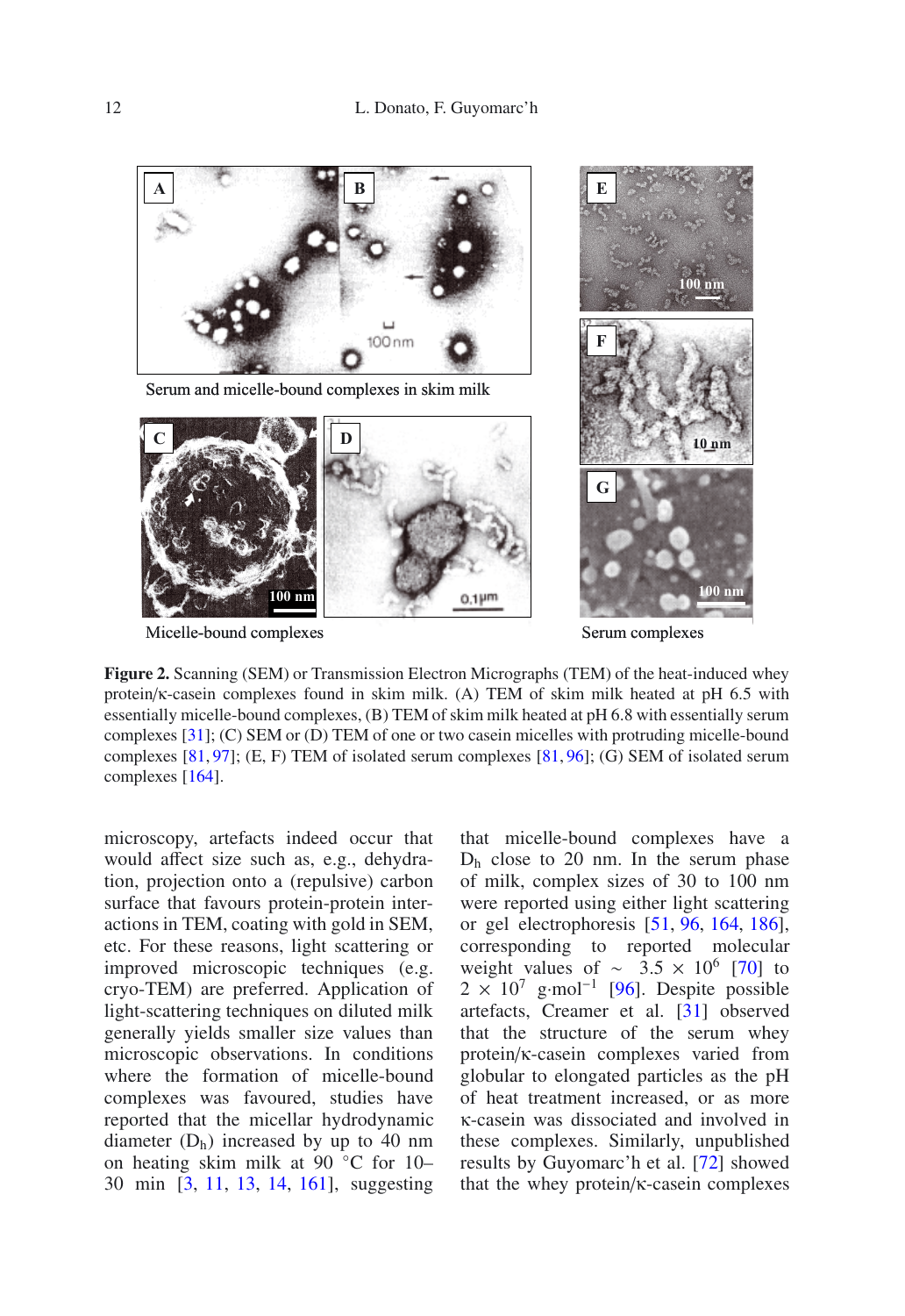<span id="page-9-0"></span>

**Figure 2.** Scanning (SEM) or Transmission Electron Micrographs (TEM) of the heat-induced whey protein/κ-casein complexes found in skim milk. (A) TEM of skim milk heated at pH 6.5 with essentially micelle-bound complexes, (B) TEM of skim milk heated at pH 6.8 with essentially serum complexes [\[31\]](#page-19-9); (C) SEM or (D) TEM of one or two casein micelles with protruding micelle-bound complexes [\[81](#page-22-12), [97\]](#page-22-9); (E, F) TEM of isolated serum complexes [\[81](#page-22-12), [96](#page-22-7)]; (G) SEM of isolated serum complexes [\[164\]](#page-25-11).

microscopy, artefacts indeed occur that would affect size such as, e.g., dehydration, projection onto a (repulsive) carbon surface that favours protein-protein interactions in TEM, coating with gold in SEM, etc. For these reasons, light scattering or improved microscopic techniques (e.g. cryo-TEM) are preferred. Application of light-scattering techniques on diluted milk generally yields smaller size values than microscopic observations. In conditions where the formation of micelle-bound complexes was favoured, studies have reported that the micellar hydrodynamic diameter  $(D_h)$  increased by up to 40 nm on heating skim milk at 90 ◦C for 10– 30 min [\[3,](#page-18-0) [11,](#page-19-11) [13](#page-19-12), [14](#page-19-13), [161\]](#page-25-5), suggesting

that micelle-bound complexes have a  $D<sub>b</sub>$  close to 20 nm. In the serum phase of milk, complex sizes of 30 to 100 nm were reported using either light scattering or gel electrophoresis [\[51,](#page-20-4) [96,](#page-22-7) [164](#page-25-11), [186\]](#page-26-6), corresponding to reported molecular<br>weight values of  $\sim 3.5 \times 10^6$  [70] to weight values of ~ 3.5 × 10<sup>6</sup> [\[70\]](#page-21-0) to<br>2 × 10<sup>7</sup> g·mol<sup>-1</sup> [\[96](#page-22-7)]. Despite possible artefacts, Creamer et al. [\[31\]](#page-19-9) observed that the structure of the serum whey protein/κ-casein complexes varied from globular to elongated particles as the pH of heat treatment increased, or as more κ-casein was dissociated and involved in these complexes. Similarly, unpublished results by Guyomarc'h et al. [\[72\]](#page-21-10) showed that the whey protein/κ-casein complexes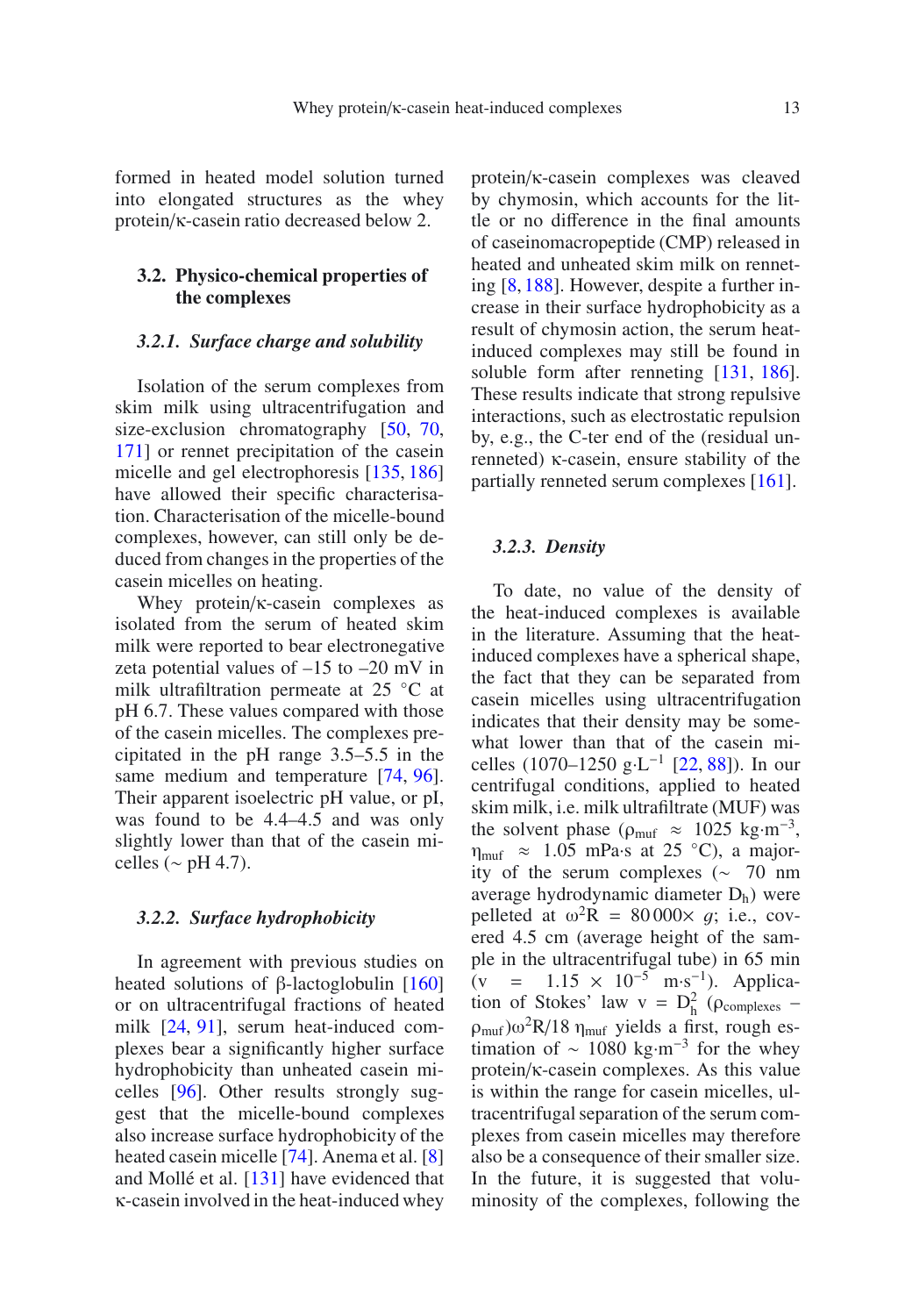formed in heated model solution turned into elongated structures as the whey protein/κ-casein ratio decreased below 2.

## **3.2. Physico-chemical properties of the complexes**

#### *3.2.1. Surface charge and solubility*

Isolation of the serum complexes from skim milk using ultracentrifugation and size-exclusion chromatography [\[50,](#page-20-9) [70](#page-21-0), [171\]](#page-25-1) or rennet precipitation of the casein micelle and gel electrophoresis [\[135,](#page-24-2) [186](#page-26-6)] have allowed their specific characterisation. Characterisation of the micelle-bound complexes, however, can still only be deduced from changes in the properties of the casein micelles on heating.

Whey protein/κ-casein complexes as isolated from the serum of heated skim milk were reported to bear electronegative zeta potential values of  $-15$  to  $-20$  mV in milk ultrafiltration permeate at 25 ◦C at pH 6.7. These values compared with those of the casein micelles. The complexes precipitated in the pH range 3.5–5.5 in the same medium and temperature [\[74](#page-21-11), [96\]](#page-22-7). Their apparent isoelectric pH value, or pI, was found to be 4.4–4.5 and was only slightly lower than that of the casein micelles ( $\sim$  pH 4.7).

#### *3.2.2. Surface hydrophobicity*

In agreement with previous studies on heated solutions of β-lactoglobulin  $[160]$ or on ultracentrifugal fractions of heated milk [\[24](#page-19-14), [91\]](#page-22-13), serum heat-induced complexes bear a significantly higher surface hydrophobicity than unheated casein micelles [\[96\]](#page-22-7). Other results strongly suggest that the micelle-bound complexes also increase surface hydrophobicity of the heated casein micelle [\[74\]](#page-21-11). Anema et al. [\[8](#page-18-5)] and Mollé et al. [\[131](#page-24-19)] have evidenced that κ-casein involved in the heat-induced whey protein/κ-casein complexes was cleaved by chymosin, which accounts for the little or no difference in the final amounts of caseinomacropeptide (CMP) released in heated and unheated skim milk on renneting [\[8](#page-18-5), [188](#page-26-7)]. However, despite a further increase in their surface hydrophobicity as a result of chymosin action, the serum heatinduced complexes may still be found in soluble form after renneting [\[131,](#page-24-19) [186\]](#page-26-6). These results indicate that strong repulsive interactions, such as electrostatic repulsion by, e.g., the C-ter end of the (residual unrenneted) κ-casein, ensure stability of the partially renneted serum complexes [\[161](#page-25-5)].

#### *3.2.3. Density*

To date, no value of the density of the heat-induced complexes is available in the literature. Assuming that the heatinduced complexes have a spherical shape, the fact that they can be separated from casein micelles using ultracentrifugation indicates that their density may be somewhat lower than that of the casein mi-celles (1070–1250 g⋅L<sup>-1</sup> [\[22](#page-19-15), [88\]](#page-22-10)). In our centrifugal conditions, applied to heated skim milk, i.e. milk ultrafiltrate (MUF) was the solvent phase ( $\rho_{\rm{muf}} \approx 1025 \text{ kg} \cdot \text{m}^{-3}$ ,  $\eta_{\text{muf}} \approx 1.05$  mPa·s at 25 °C), a majority of the serum complexes (∼ 70 nm average hydrodynamic diameter Dh) were pelleted at  $\omega^2$ R = 80 000 $\times$  *q*; i.e., covered 4.5 cm (average height of the sample in the ultracentrifugal tube) in 65 min (v =  $1.15 \times 10^{-5}$  m·s<sup>-1</sup>). Application of Stokes' law  $v = D_h^2$  ( $\rho_{complexes}$  –  $ρ<sub>mut</sub>$ )ω<sup>2</sup>R/18 η<sub>muf</sub> yields a first, rough estimation of  $\sim 1080 \text{ kg} \cdot \text{m}^{-3}$  for the whey protein/κ-casein complexes. As this value is within the range for casein micelles, ultracentrifugal separation of the serum complexes from casein micelles may therefore also be a consequence of their smaller size. In the future, it is suggested that voluminosity of the complexes, following the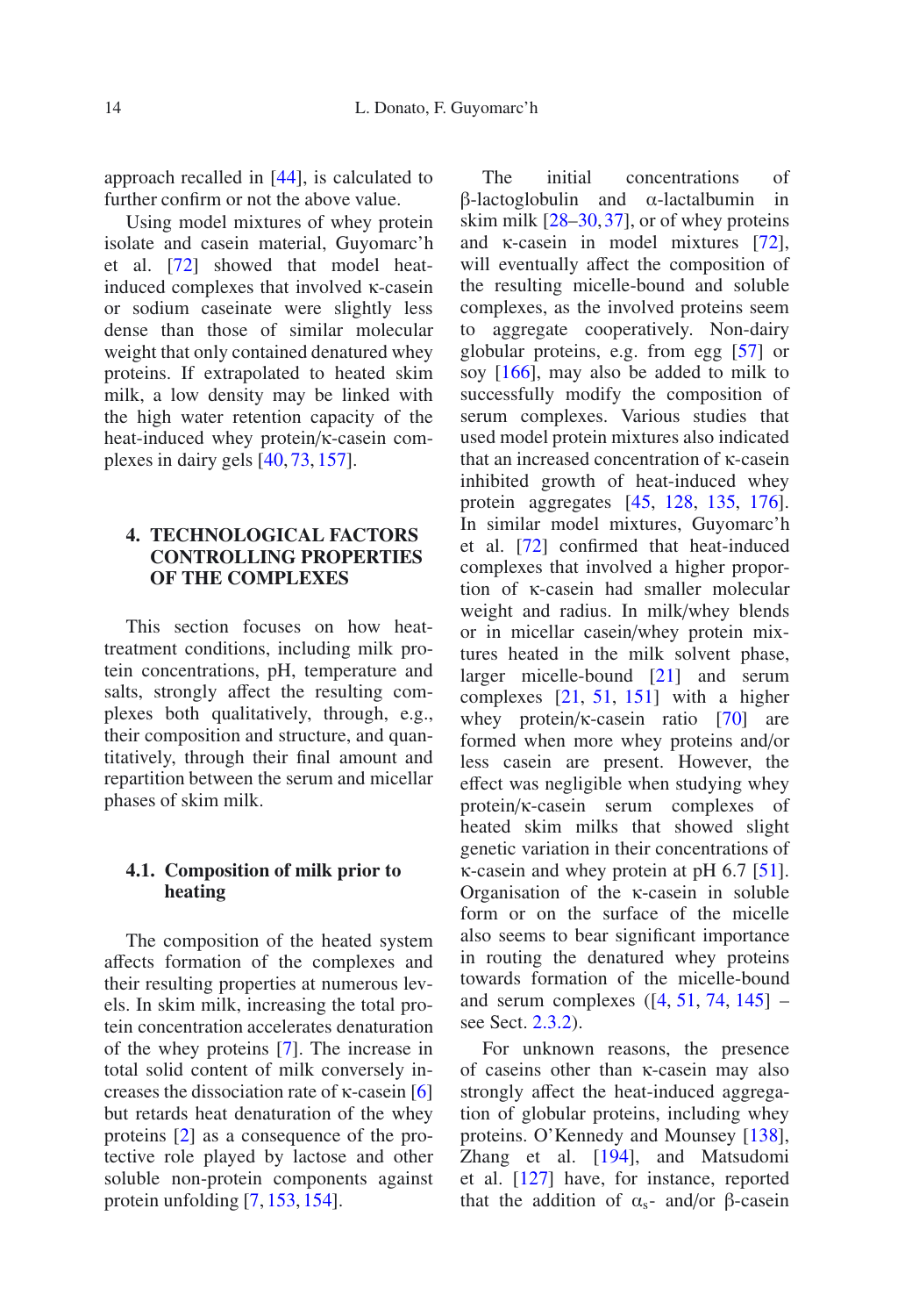approach recalled in [\[44](#page-20-19)], is calculated to further confirm or not the above value.

Using model mixtures of whey protein isolate and casein material, Guyomarc'h et al. [\[72\]](#page-21-10) showed that model heatinduced complexes that involved κ-casein or sodium caseinate were slightly less dense than those of similar molecular weight that only contained denatured whey proteins. If extrapolated to heated skim milk, a low density may be linked with the high water retention capacity of the heat-induced whey protein/κ-casein complexes in dairy gels [\[40,](#page-20-20) [73](#page-21-12), [157](#page-25-13)].

# **4. TECHNOLOGICAL FACTORS CONTROLLING PROPERTIES OF THE COMPLEXES**

This section focuses on how heattreatment conditions, including milk protein concentrations, pH, temperature and salts, strongly affect the resulting complexes both qualitatively, through, e.g., their composition and structure, and quantitatively, through their final amount and repartition between the serum and micellar phases of skim milk.

# <span id="page-11-0"></span>**4.1. Composition of milk prior to heating**

The composition of the heated system affects formation of the complexes and their resulting properties at numerous levels. In skim milk, increasing the total protein concentration accelerates denaturation of the whey proteins [\[7](#page-18-7)]. The increase in total solid content of milk conversely increases the dissociation rate of κ-casein [\[6\]](#page-18-3) but retards heat denaturation of the whey proteins [\[2\]](#page-18-6) as a consequence of the protective role played by lactose and other soluble non-protein components against protein unfolding [\[7](#page-18-7), [153,](#page-25-14) [154\]](#page-25-15).

The initial concentrations of β-lactoglobulin and α-lactalbumin in skim milk  $[28-30,37]$  $[28-30,37]$  $[28-30,37]$ , or of whey proteins and κ-casein in model mixtures [\[72\]](#page-21-10), will eventually affect the composition of the resulting micelle-bound and soluble complexes, as the involved proteins seem aggregate cooperatively. Non-dairy globular proteins, e.g. from egg [\[57\]](#page-21-13) or soy [\[166](#page-25-16)], may also be added to milk to successfully modify the composition of serum complexes. Various studies that used model protein mixtures also indicated that an increased concentration of κ-casein inhibited growth of heat-induced whey protein aggregates [\[45,](#page-20-10) [128,](#page-24-7) [135,](#page-24-2) [176\]](#page-26-1). In similar model mixtures, Guyomarc'h et al. [\[72](#page-21-10)] confirmed that heat-induced complexes that involved a higher proportion of κ-casein had smaller molecular weight and radius. In milk/whey blends or in micellar casein/whey protein mixtures heated in the milk solvent phase, larger micelle-bound [\[21](#page-19-3)] and serum complexes [\[21](#page-19-3), [51,](#page-20-4) [151\]](#page-24-5) with a higher whey protein/κ-casein ratio [\[70\]](#page-21-0) are formed when more whey proteins and/or less casein are present. However, the effect was negligible when studying whey protein/κ-casein serum complexes of heated skim milks that showed slight genetic variation in their concentrations of κ-casein and whey protein at pH 6.7 [\[51\]](#page-20-4). Organisation of the κ-casein in soluble form or on the surface of the micelle also seems to bear significant importance in routing the denatured whey proteins towards formation of the micelle-bound and serum complexes  $([4, 51, 74, 145]$  $([4, 51, 74, 145]$  $([4, 51, 74, 145]$  $([4, 51, 74, 145]$  $([4, 51, 74, 145]$  $([4, 51, 74, 145]$  $([4, 51, 74, 145]$  $([4, 51, 74, 145]$  $([4, 51, 74, 145]$  – see Sect. [2.3.2\)](#page-4-0).

For unknown reasons, the presence of caseins other than κ-casein may also strongly affect the heat-induced aggregation of globular proteins, including whey proteins. O'Kennedy and Mounsey [\[138\]](#page-24-20), Zhang et al. [\[194](#page-26-8)], and Matsudomi et al. [\[127\]](#page-23-9) have, for instance, reported that the addition of  $α_s$ - and/or β-casein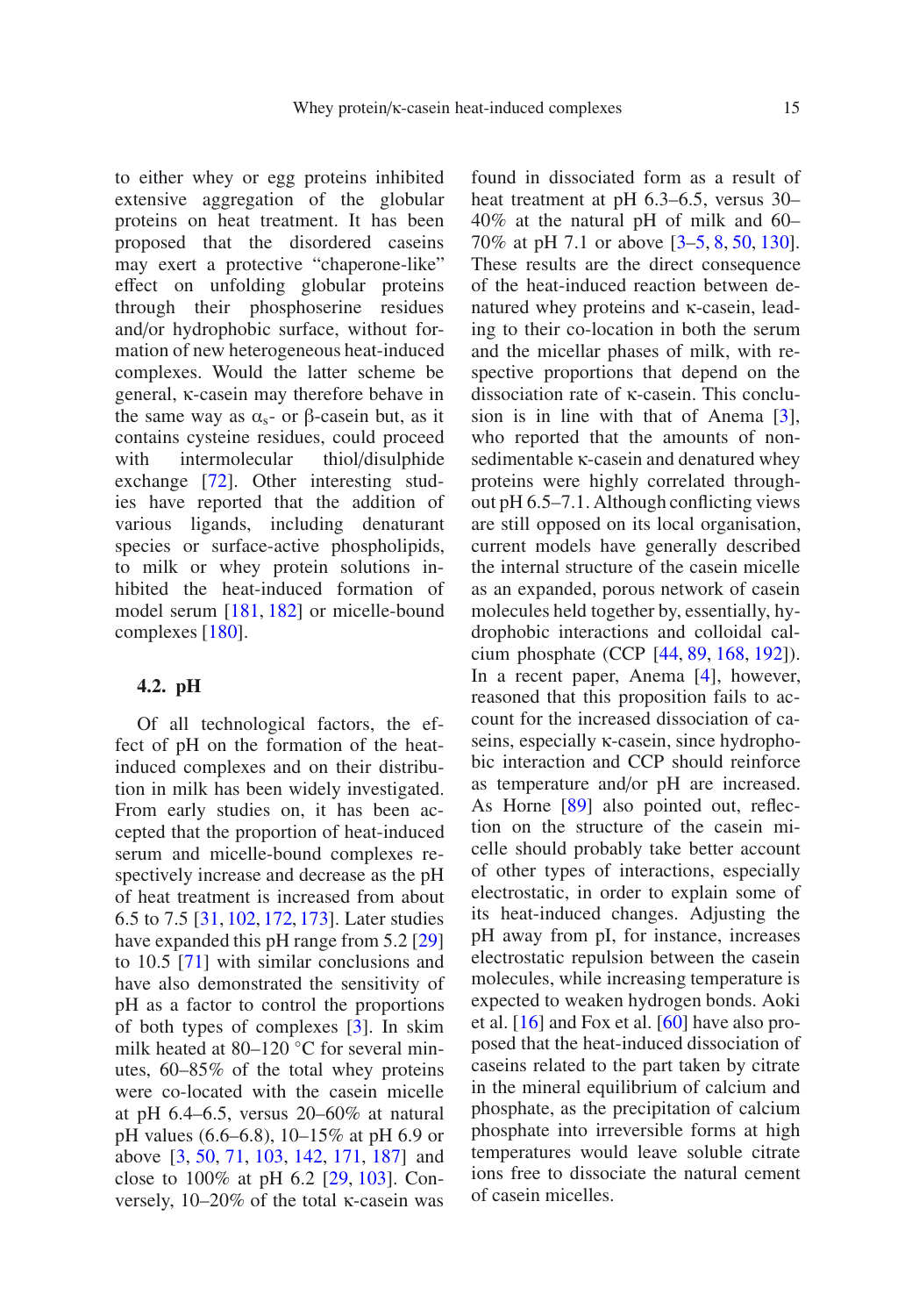to either whey or egg proteins inhibited extensive aggregation of the globular proteins on heat treatment. It has been proposed that the disordered caseins may exert a protective "chaperone-like" effect on unfolding globular proteins through their phosphoserine residues and/or hydrophobic surface, without formation of new heterogeneous heat-induced complexes. Would the latter scheme be general, κ-casein may therefore behave in the same way as  $\alpha_s$ - or β-casein but, as it contains cysteine residues, could proceed with intermolecular thiol/disulphide exchange [\[72\]](#page-21-10). Other interesting studies have reported that the addition of various ligands, including denaturant species or surface-active phospholipids, to milk or whey protein solutions inhibited the heat-induced formation of model serum [\[181](#page-26-9), [182\]](#page-26-10) or micelle-bound complexes [\[180\]](#page-26-11).

#### **4.2. pH**

<span id="page-12-0"></span>Of all technological factors, the effect of pH on the formation of the heatinduced complexes and on their distribution in milk has been widely investigated. From early studies on, it has been accepted that the proportion of heat-induced serum and micelle-bound complexes respectively increase and decrease as the pH of heat treatment is increased from about 6.5 to 7.5 [\[31,](#page-19-9) [102](#page-22-14), [172,](#page-25-17) [173\]](#page-25-8). Later studies have expanded this pH range from 5.2 [\[29](#page-19-7)] to 10.5 [\[71](#page-21-14)] with similar conclusions and have also demonstrated the sensitivity of pH as a factor to control the proportions of both types of complexes [\[3](#page-18-0)]. In skim milk heated at 80–120 ◦C for several minutes, 60–85% of the total whey proteins were co-located with the casein micelle at pH 6.4–6.5, versus 20–60% at natural pH values (6.6–6.8), 10–15% at pH 6.9 or above [\[3,](#page-18-0) [50](#page-20-9), [71,](#page-21-14) [103,](#page-22-15) [142,](#page-24-16) [171,](#page-25-1) [187](#page-26-12)] and close to 100% at pH 6.2 [\[29](#page-19-7), [103\]](#page-22-15). Conversely, 10–20% of the total κ-casein was

found in dissociated form as a result of heat treatment at pH 6.3–6.5, versus 30– 40% at the natural pH of milk and 60– 70% at pH 7.1 or above [\[3](#page-18-0)[–5,](#page-18-2) [8](#page-18-5), [50,](#page-20-9) [130\]](#page-24-15). These results are the direct consequence of the heat-induced reaction between denatured whey proteins and κ-casein, leading to their co-location in both the serum and the micellar phases of milk, with respective proportions that depend on the dissociation rate of κ-casein. This conclusion is in line with that of Anema [\[3\]](#page-18-0), who reported that the amounts of nonsedimentable κ-casein and denatured whey proteins were highly correlated throughout pH 6.5–7.1. Although conflicting views are still opposed on its local organisation, current models have generally described the internal structure of the casein micelle as an expanded, porous network of casein molecules held together by, essentially, hydrophobic interactions and colloidal calcium phosphate (CCP [\[44,](#page-20-19) [89,](#page-22-16) [168](#page-25-18), [192\]](#page-26-13)). In a recent paper, Anema [\[4](#page-18-4)], however, reasoned that this proposition fails to account for the increased dissociation of caseins, especially κ-casein, since hydrophobic interaction and CCP should reinforce as temperature and/or pH are increased. As Horne [\[89](#page-22-16)] also pointed out, reflection on the structure of the casein micelle should probably take better account of other types of interactions, especially electrostatic, in order to explain some of its heat-induced changes. Adjusting the pH away from pI, for instance, increases electrostatic repulsion between the casein molecules, while increasing temperature is expected to weaken hydrogen bonds. Aoki et al. [\[16\]](#page-19-16) and Fox et al. [\[60\]](#page-21-15) have also proposed that the heat-induced dissociation of caseins related to the part taken by citrate in the mineral equilibrium of calcium and phosphate, as the precipitation of calcium phosphate into irreversible forms at high temperatures would leave soluble citrate ions free to dissociate the natural cement of casein micelles.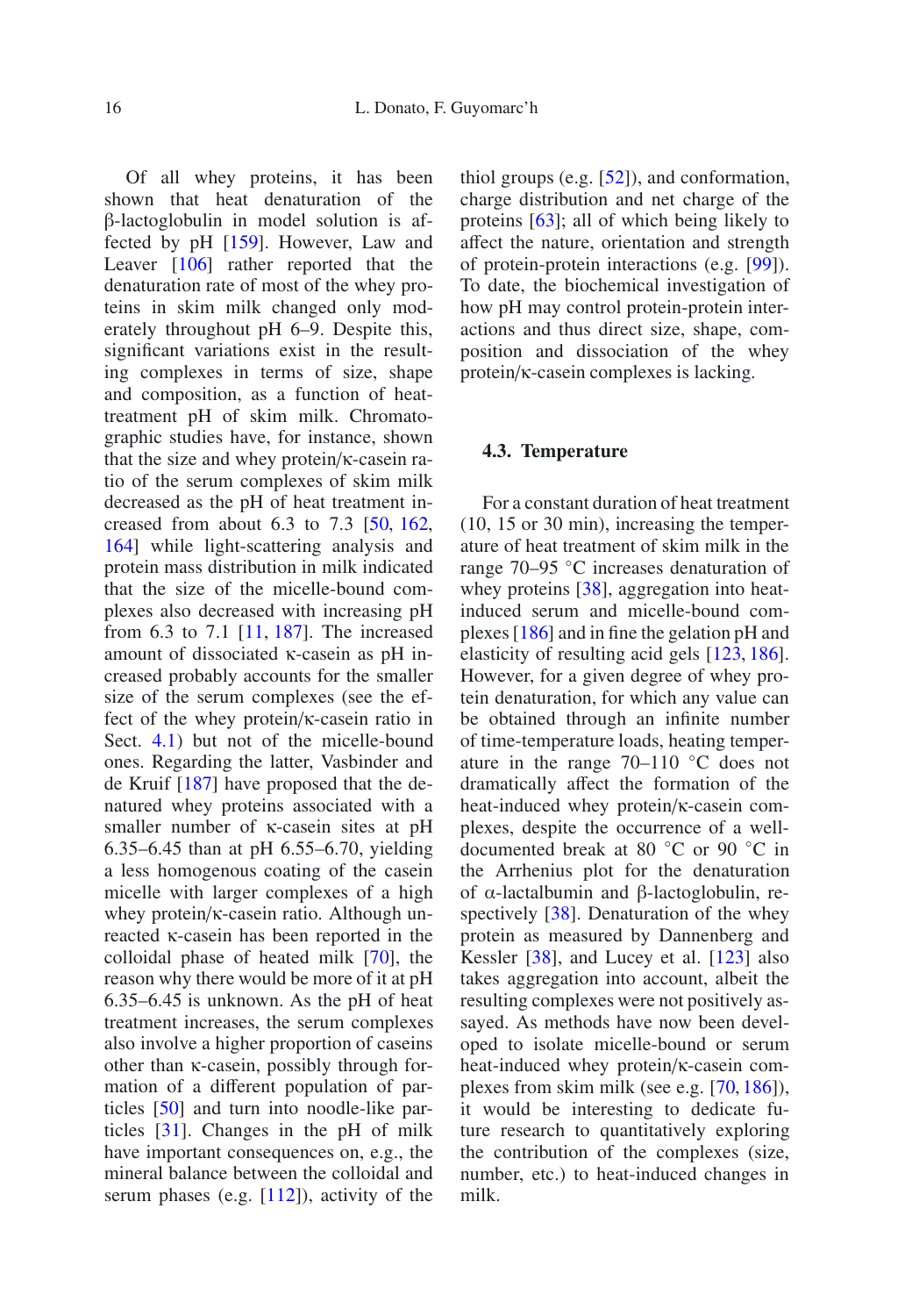Of all whey proteins, it has been shown that heat denaturation of the β-lactoglobulin in model solution is affected by pH [\[159\]](#page-25-0). However, Law and Leaver [\[106\]](#page-23-10) rather reported that the denaturation rate of most of the whey proteins in skim milk changed only moderately throughout pH 6–9. Despite this, significant variations exist in the resulting complexes in terms of size, shape and composition, as a function of heattreatment pH of skim milk. Chromatographic studies have, for instance, shown that the size and whey protein/κ-casein ratio of the serum complexes of skim milk decreased as the pH of heat treatment increased from about 6.3 to 7.3 [\[50](#page-20-9), [162,](#page-25-6) [164\]](#page-25-11) while light-scattering analysis and protein mass distribution in milk indicated that the size of the micelle-bound complexes also decreased with increasing pH from 6.3 to 7.1 [\[11,](#page-19-11) [187\]](#page-26-12). The increased amount of dissociated κ-casein as pH increased probably accounts for the smaller size of the serum complexes (see the effect of the whey protein/κ-casein ratio in Sect. [4.1\)](#page-11-0) but not of the micelle-bound ones. Regarding the latter, Vasbinder and de Kruif [\[187\]](#page-26-12) have proposed that the denatured whey proteins associated with a smaller number of κ-casein sites at pH 6.35–6.45 than at pH 6.55–6.70, yielding a less homogenous coating of the casein micelle with larger complexes of a high whey protein/κ-casein ratio. Although unreacted κ-casein has been reported in the colloidal phase of heated milk [\[70](#page-21-0)], the reason why there would be more of it at pH 6.35–6.45 is unknown. As the pH of heat treatment increases, the serum complexes also involve a higher proportion of caseins other than κ-casein, possibly through formation of a different population of particles [\[50\]](#page-20-9) and turn into noodle-like particles [\[31\]](#page-19-9). Changes in the pH of milk have important consequences on, e.g., the mineral balance between the colloidal and serum phases (e.g. [\[112\]](#page-23-11)), activity of the thiol groups (e.g. [\[52\]](#page-20-21)), and conformation, charge distribution and net charge of the proteins [\[63\]](#page-21-16); all of which being likely to affect the nature, orientation and strength of protein-protein interactions (e.g. [\[99](#page-22-17)]). To date, the biochemical investigation of how pH may control protein-protein interactions and thus direct size, shape, composition and dissociation of the whey protein/κ-casein complexes is lacking.

#### **4.3. Temperature**

For a constant duration of heat treatment (10, 15 or 30 min), increasing the temperature of heat treatment of skim milk in the range 70–95 ◦C increases denaturation of whey proteins [\[38](#page-20-0)], aggregation into heatinduced serum and micelle-bound complexes [\[186\]](#page-26-6) and in fine the gelation pH and elasticity of resulting acid gels [\[123,](#page-23-2) [186\]](#page-26-6). However, for a given degree of whey protein denaturation, for which any value can be obtained through an infinite number of time-temperature loads, heating temperature in the range  $70-110$  °C does not dramatically affect the formation of the heat-induced whey protein/κ-casein complexes, despite the occurrence of a welldocumented break at 80 ◦C or 90 ◦C in the Arrhenius plot for the denaturation of α-lactalbumin and β-lactoglobulin, re-spectively [\[38\]](#page-20-0). Denaturation of the whey protein as measured by Dannenberg and Kessler [\[38\]](#page-20-0), and Lucey et al. [\[123\]](#page-23-2) also takes aggregation into account, albeit the resulting complexes were not positively assayed. As methods have now been developed to isolate micelle-bound or serum heat-induced whey protein/κ-casein complexes from skim milk (see e.g. [\[70](#page-21-0), [186](#page-26-6)]), it would be interesting to dedicate future research to quantitatively exploring the contribution of the complexes (size, number, etc.) to heat-induced changes in milk.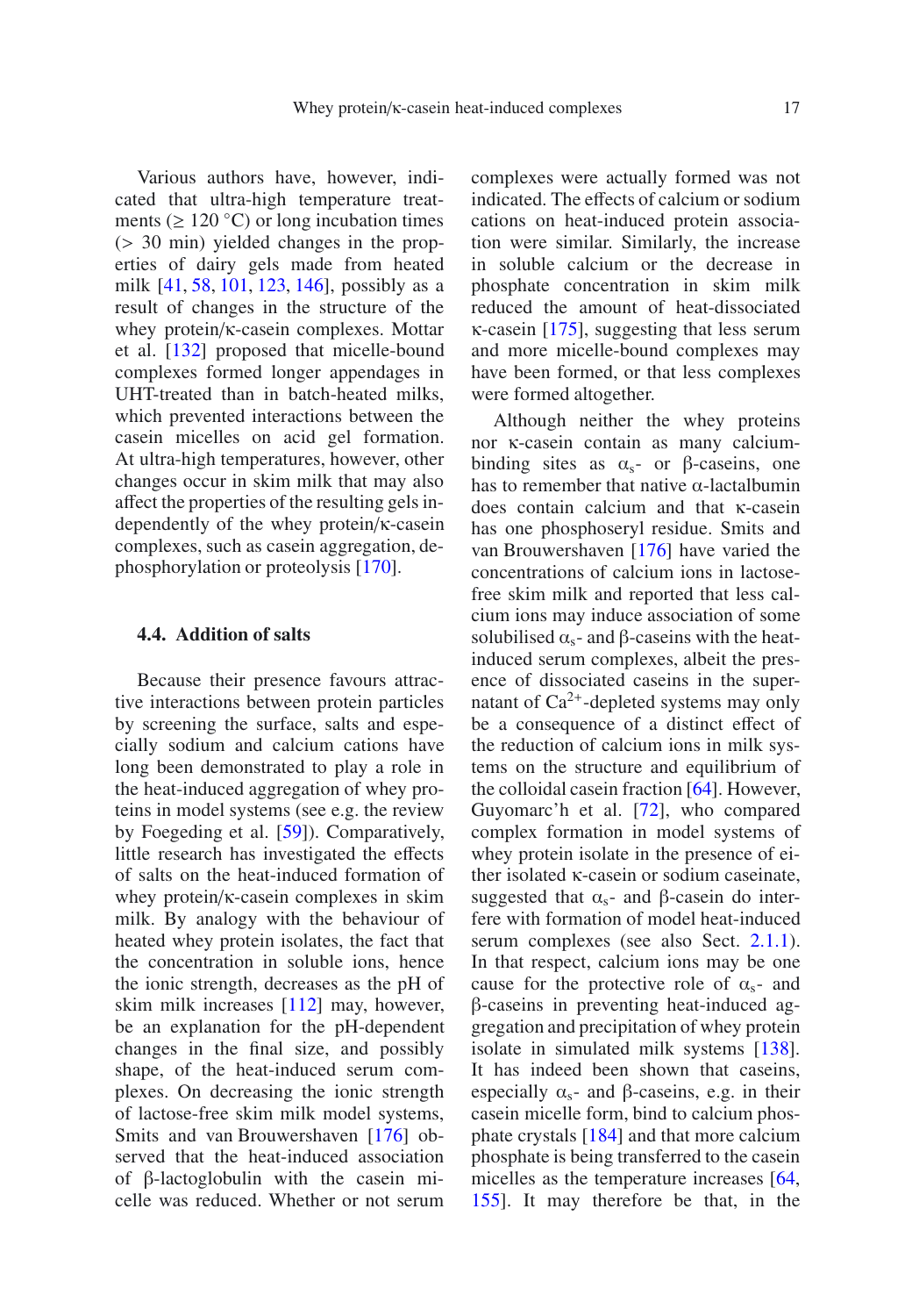Various authors have, however, indicated that ultra-high temperature treatments ( $\geq 120$  °C) or long incubation times (> 30 min) yielded changes in the properties of dairy gels made from heated milk [\[41,](#page-20-5) [58](#page-21-17), [101,](#page-22-18) [123,](#page-23-2) [146\]](#page-24-21), possibly as a result of changes in the structure of the whey protein/κ-casein complexes. Mottar et al. [\[132\]](#page-24-17) proposed that micelle-bound complexes formed longer appendages in UHT-treated than in batch-heated milks, which prevented interactions between the casein micelles on acid gel formation. At ultra-high temperatures, however, other changes occur in skim milk that may also affect the properties of the resulting gels independently of the whey protein/κ-casein complexes, such as casein aggregation, dephosphorylation or proteolysis [\[170](#page-25-19)].

#### **4.4. Addition of salts**

Because their presence favours attractive interactions between protein particles by screening the surface, salts and especially sodium and calcium cations have long been demonstrated to play a role in the heat-induced aggregation of whey proteins in model systems (see e.g. the review by Foegeding et al. [\[59](#page-21-18)]). Comparatively, little research has investigated the effects of salts on the heat-induced formation of whey protein/κ-casein complexes in skim milk. By analogy with the behaviour of heated whey protein isolates, the fact that the concentration in soluble ions, hence the ionic strength, decreases as the pH of skim milk increases [\[112\]](#page-23-11) may, however, be an explanation for the pH-dependent changes in the final size, and possibly shape, of the heat-induced serum complexes. On decreasing the ionic strength of lactose-free skim milk model systems, Smits and van Brouwershaven [\[176](#page-26-1)] observed that the heat-induced association of β-lactoglobulin with the casein micelle was reduced. Whether or not serum complexes were actually formed was not indicated. The effects of calcium or sodium cations on heat-induced protein association were similar. Similarly, the increase in soluble calcium or the decrease in phosphate concentration in skim milk reduced the amount of heat-dissociated  $\kappa$ -casein [\[175\]](#page-26-14), suggesting that less serum and more micelle-bound complexes may have been formed, or that less complexes were formed altogether.

Although neither the whey proteins nor κ-casein contain as many calciumbinding sites as  $\alpha_s$ - or β-caseins, one has to remember that native  $\alpha$ -lactalbumin does contain calcium and that κ-casein has one phosphoseryl residue. Smits and van Brouwershaven [\[176\]](#page-26-1) have varied the concentrations of calcium ions in lactosefree skim milk and reported that less calcium ions may induce association of some solubilised  $\alpha_s$ - and  $\beta$ -caseins with the heatinduced serum complexes, albeit the presence of dissociated caseins in the supernatant of  $Ca^{2+}$ -depleted systems may only be a consequence of a distinct effect of the reduction of calcium ions in milk systems on the structure and equilibrium of the colloidal casein fraction [\[64](#page-21-19)]. However, Guyomarc'h et al. [\[72\]](#page-21-10), who compared complex formation in model systems of whey protein isolate in the presence of either isolated κ-casein or sodium caseinate, suggested that  $\alpha_s$ - and β-casein do interfere with formation of model heat-induced serum complexes (see also Sect. [2.1.1\)](#page-2-0). In that respect, calcium ions may be one cause for the protective role of  $\alpha_s$ - and β-caseins in preventing heat-induced aggregation and precipitation of whey protein isolate in simulated milk systems [\[138\]](#page-24-20). It has indeed been shown that caseins, especially  $\alpha_s$ - and β-caseins, e.g. in their casein micelle form, bind to calcium phosphate crystals [\[184](#page-26-15)] and that more calcium phosphate is being transferred to the casein micelles as the temperature increases [\[64](#page-21-19), [155\]](#page-25-20). It may therefore be that, in the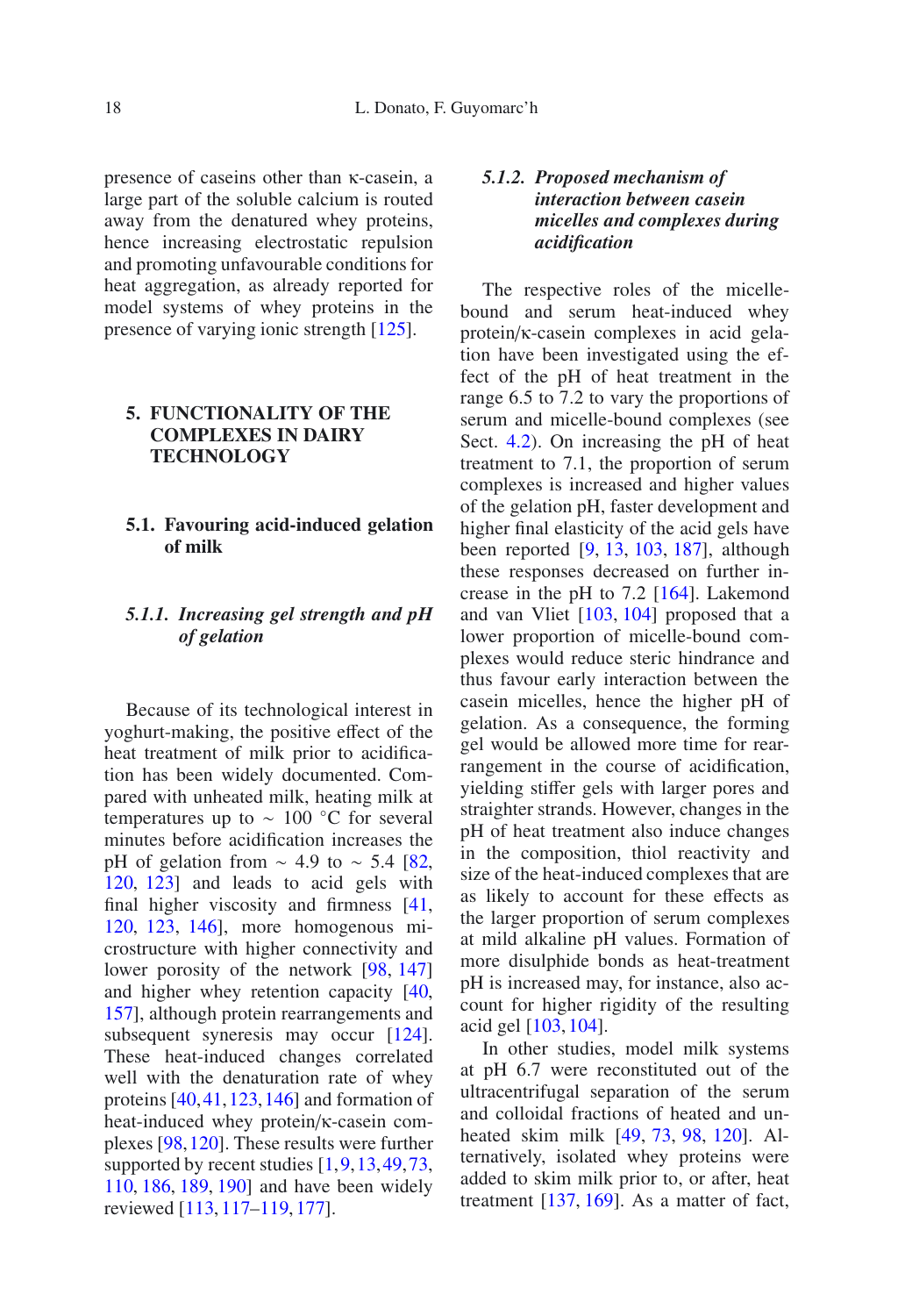presence of caseins other than κ-casein, a large part of the soluble calcium is routed away from the denatured whey proteins, hence increasing electrostatic repulsion and promoting unfavourable conditions for heat aggregation, as already reported for model systems of whey proteins in the presence of varying ionic strength [\[125\]](#page-23-12).

# **5. FUNCTIONALITY OF THE COMPLEXES IN DAIRY TECHNOLOGY**

## **5.1. Favouring acid-induced gelation of milk**

# *5.1.1. Increasing gel strength and pH of gelation*

Because of its technological interest in yoghurt-making, the positive effect of the heat treatment of milk prior to acidification has been widely documented. Compared with unheated milk, heating milk at temperatures up to  $\sim 100$  °C for several minutes before acidification increases the pH of gelation from  $\sim$  4.9 to  $\sim$  5.4 [\[82,](#page-22-11) [120,](#page-23-7) [123](#page-23-2)] and leads to acid gels with final higher viscosity and firmness [\[41,](#page-20-5) [120,](#page-23-7) [123,](#page-23-2) [146](#page-24-21)], more homogenous microstructure with higher connectivity and lower porosity of the network [\[98](#page-22-19), [147\]](#page-24-22) and higher whey retention capacity [\[40,](#page-20-20) [157\]](#page-25-13), although protein rearrangements and subsequent syneresis may occur [\[124](#page-23-13)]. These heat-induced changes correlated well with the denaturation rate of whey proteins [\[40,](#page-20-20)[41](#page-20-5)[,123,](#page-23-2)[146\]](#page-24-21) and formation of heat-induced whey protein/κ-casein complexes [\[98,](#page-22-19)[120\]](#page-23-7). These results were further supported by recent studies [\[1,](#page-18-8)[9](#page-18-9),[13,](#page-19-12)[49](#page-20-22)[,73,](#page-21-12) [110,](#page-23-14) [186](#page-26-6), [189,](#page-26-16) [190](#page-26-17)] and have been widely reviewed [\[113,](#page-23-15) [117](#page-23-16)[–119,](#page-23-17) [177\]](#page-26-18).

# *5.1.2. Proposed mechanism of interaction between casein micelles and complexes during acidification*

The respective roles of the micellebound and serum heat-induced whey protein/κ-casein complexes in acid gelation have been investigated using the effect of the pH of heat treatment in the range 6.5 to 7.2 to vary the proportions of serum and micelle-bound complexes (see Sect. [4.2\)](#page-12-0). On increasing the pH of heat treatment to 7.1, the proportion of serum complexes is increased and higher values of the gelation pH, faster development and higher final elasticity of the acid gels have been reported [\[9,](#page-18-9) [13,](#page-19-12) [103,](#page-22-15) [187\]](#page-26-12), although these responses decreased on further increase in the pH to 7.2 [\[164](#page-25-11)]. Lakemond and van Vliet [\[103](#page-22-15), [104\]](#page-22-20) proposed that a lower proportion of micelle-bound complexes would reduce steric hindrance and thus favour early interaction between the casein micelles, hence the higher pH of gelation. As a consequence, the forming gel would be allowed more time for rearrangement in the course of acidification, yielding stiffer gels with larger pores and straighter strands. However, changes in the pH of heat treatment also induce changes in the composition, thiol reactivity and size of the heat-induced complexes that are as likely to account for these effects as the larger proportion of serum complexes at mild alkaline pH values. Formation of more disulphide bonds as heat-treatment pH is increased may, for instance, also account for higher rigidity of the resulting acid gel [\[103](#page-22-15), [104\]](#page-22-20).

In other studies, model milk systems at pH 6.7 were reconstituted out of the ultracentrifugal separation of the serum and colloidal fractions of heated and unheated skim milk [\[49,](#page-20-22) [73](#page-21-12), [98,](#page-22-19) [120\]](#page-23-7). Alternatively, isolated whey proteins were added to skim milk prior to, or after, heat treatment  $[137, 169]$  $[137, 169]$  $[137, 169]$  $[137, 169]$ . As a matter of fact,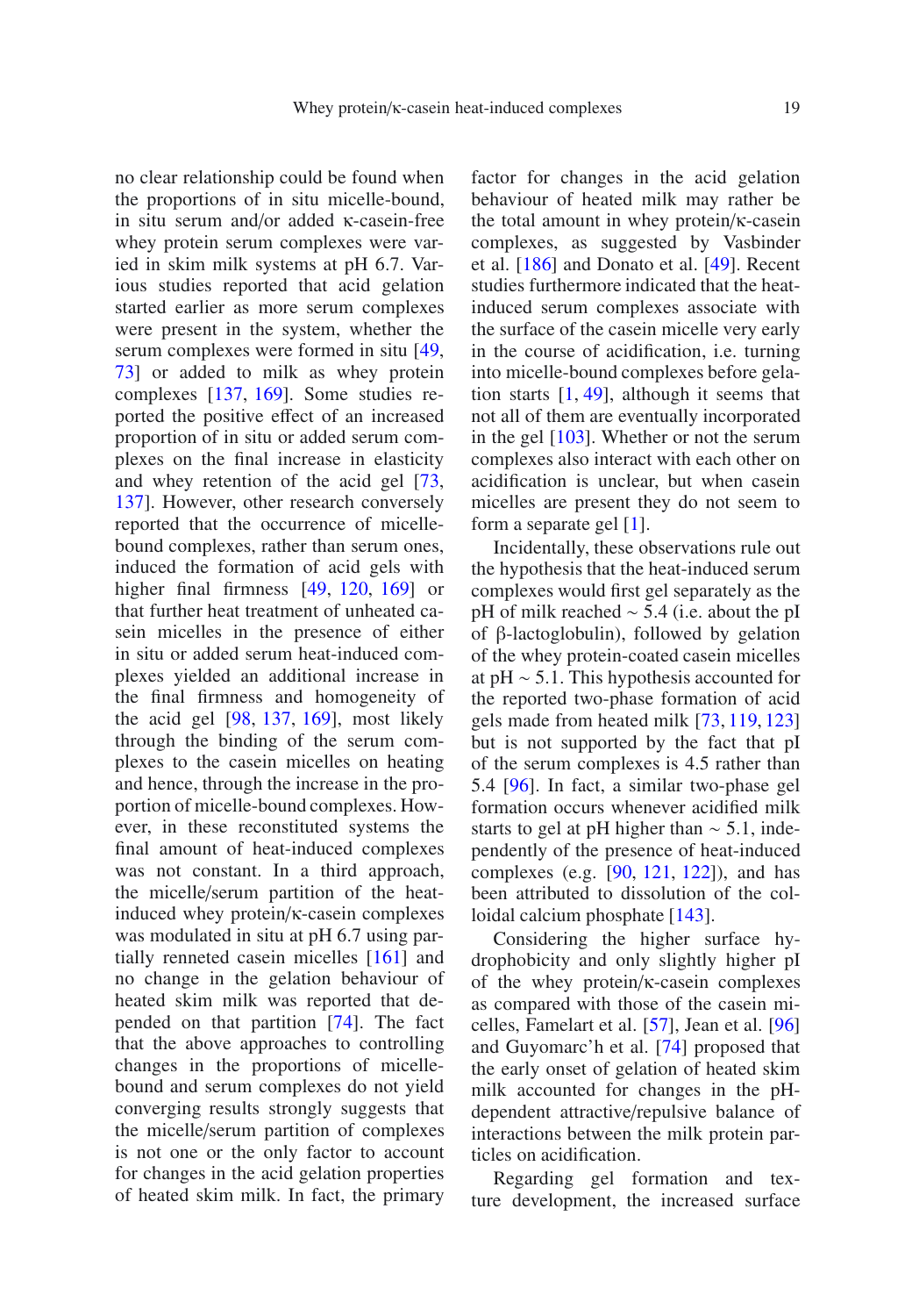no clear relationship could be found when the proportions of in situ micelle-bound, in situ serum and/or added κ-casein-free whey protein serum complexes were varied in skim milk systems at pH 6.7. Various studies reported that acid gelation started earlier as more serum complexes were present in the system, whether the serum complexes were formed in situ [\[49](#page-20-22), [73\]](#page-21-12) or added to milk as whey protein complexes [\[137,](#page-24-23) [169](#page-25-21)]. Some studies reported the positive effect of an increased proportion of in situ or added serum complexes on the final increase in elasticity and whey retention of the acid gel [\[73](#page-21-12), [137\]](#page-24-23). However, other research conversely reported that the occurrence of micellebound complexes, rather than serum ones, induced the formation of acid gels with higher final firmness [\[49,](#page-20-22) [120](#page-23-7), [169\]](#page-25-21) or that further heat treatment of unheated casein micelles in the presence of either in situ or added serum heat-induced complexes yielded an additional increase in the final firmness and homogeneity of the acid gel  $[98, 137, 169]$  $[98, 137, 169]$  $[98, 137, 169]$  $[98, 137, 169]$  $[98, 137, 169]$  $[98, 137, 169]$ , most likely through the binding of the serum complexes to the casein micelles on heating and hence, through the increase in the proportion of micelle-bound complexes. However, in these reconstituted systems the final amount of heat-induced complexes was not constant. In a third approach, the micelle/serum partition of the heatinduced whey protein/κ-casein complexes was modulated in situ at pH 6.7 using partially renneted casein micelles [\[161\]](#page-25-5) and no change in the gelation behaviour of heated skim milk was reported that depended on that partition [\[74\]](#page-21-11). The fact that the above approaches to controlling changes in the proportions of micellebound and serum complexes do not yield converging results strongly suggests that the micelle/serum partition of complexes is not one or the only factor to account for changes in the acid gelation properties of heated skim milk. In fact, the primary factor for changes in the acid gelation behaviour of heated milk may rather be the total amount in whey protein/κ-casein complexes, as suggested by Vasbinder et al. [\[186\]](#page-26-6) and Donato et al. [\[49\]](#page-20-22). Recent studies furthermore indicated that the heatinduced serum complexes associate with the surface of the casein micelle very early in the course of acidification, i.e. turning into micelle-bound complexes before gelation starts  $[1, 49]$  $[1, 49]$  $[1, 49]$ , although it seems that not all of them are eventually incorporated in the gel  $[103]$ . Whether or not the serum complexes also interact with each other on acidification is unclear, but when casein micelles are present they do not seem to form a separate gel [\[1\]](#page-18-8).

Incidentally, these observations rule out the hypothesis that the heat-induced serum complexes would first gel separately as the pH of milk reached ∼ 5.4 (i.e. about the pI of β-lactoglobulin), followed by gelation of the whey protein-coated casein micelles at pH ∼ 5.1. This hypothesis accounted for the reported two-phase formation of acid gels made from heated milk [\[73,](#page-21-12) [119,](#page-23-17) [123\]](#page-23-2) but is not supported by the fact that pI of the serum complexes is 4.5 rather than 5.4 [\[96\]](#page-22-7). In fact, a similar two-phase gel formation occurs whenever acidified milk starts to gel at pH higher than  $\sim$  5.1, independently of the presence of heat-induced complexes (e.g. [\[90,](#page-22-21) [121](#page-23-18), [122\]](#page-23-19)), and has been attributed to dissolution of the colloidal calcium phosphate [\[143](#page-24-24)].

Considering the higher surface hydrophobicity and only slightly higher pI of the whey protein/κ-casein complexes as compared with those of the casein micelles, Famelart et al. [\[57\]](#page-21-13), Jean et al. [\[96\]](#page-22-7) and Guyomarc'h et al. [\[74](#page-21-11)] proposed that the early onset of gelation of heated skim milk accounted for changes in the pHdependent attractive/repulsive balance of interactions between the milk protein particles on acidification.

Regarding gel formation and texture development, the increased surface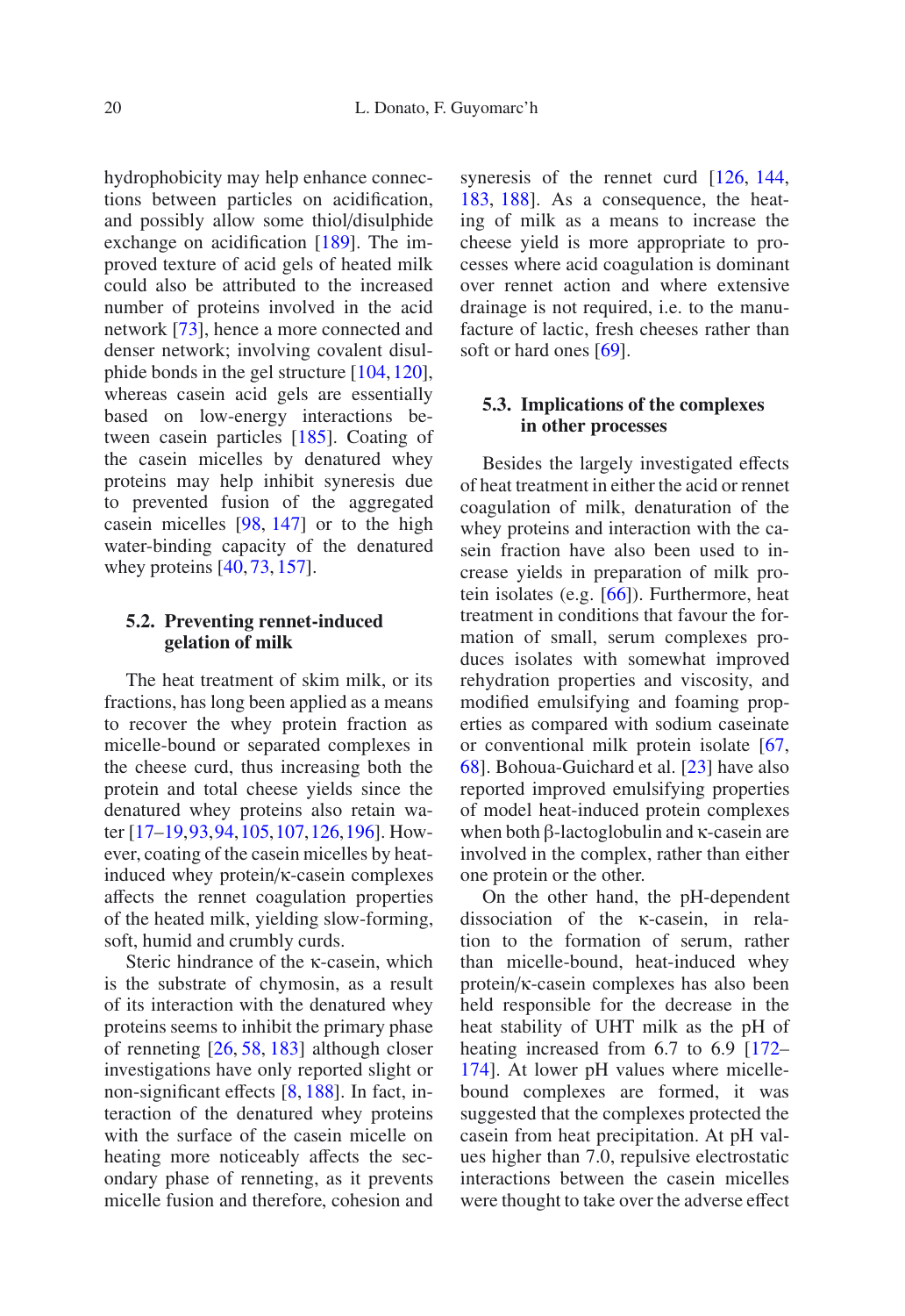hydrophobicity may help enhance connections between particles on acidification, and possibly allow some thiol/disulphide exchange on acidification [\[189\]](#page-26-16). The improved texture of acid gels of heated milk could also be attributed to the increased number of proteins involved in the acid network [\[73](#page-21-12)], hence a more connected and denser network; involving covalent disulphide bonds in the gel structure [\[104,](#page-22-20)[120](#page-23-7)], whereas casein acid gels are essentially based on low-energy interactions between casein particles [\[185\]](#page-26-19). Coating of the casein micelles by denatured whey proteins may help inhibit syneresis due to prevented fusion of the aggregated casein micelles [\[98,](#page-22-19) [147](#page-24-22)] or to the high water-binding capacity of the denatured whey proteins [\[40,](#page-20-20) [73,](#page-21-12) [157](#page-25-13)].

# **5.2. Preventing rennet-induced gelation of milk**

The heat treatment of skim milk, or its fractions, has long been applied as a means to recover the whey protein fraction as micelle-bound or separated complexes in the cheese curd, thus increasing both the protein and total cheese yields since the denatured whey proteins also retain water [\[17](#page-19-17)[–19,](#page-19-18)[93](#page-22-22)[,94](#page-22-23)[,105](#page-23-3)[,107,](#page-23-20)[126,](#page-23-21)[196\]](#page-26-20). However, coating of the casein micelles by heatinduced whey protein/κ-casein complexes affects the rennet coagulation properties of the heated milk, yielding slow-forming, soft, humid and crumbly curds.

Steric hindrance of the κ-casein, which is the substrate of chymosin, as a result of its interaction with the denatured whey proteins seems to inhibit the primary phase of renneting [\[26,](#page-19-19) [58,](#page-21-17) [183\]](#page-26-21) although closer investigations have only reported slight or non-significant effects [\[8,](#page-18-5) [188\]](#page-26-7). In fact, interaction of the denatured whey proteins with the surface of the casein micelle on heating more noticeably affects the secondary phase of renneting, as it prevents micelle fusion and therefore, cohesion and syneresis of the rennet curd [\[126,](#page-23-21) [144,](#page-24-18) [183](#page-26-21), [188\]](#page-26-7). As a consequence, the heating of milk as a means to increase the cheese yield is more appropriate to processes where acid coagulation is dominant over rennet action and where extensive drainage is not required, i.e. to the manufacture of lactic, fresh cheeses rather than soft or hard ones [\[69\]](#page-21-3).

## **5.3. Implications of the complexes in other processes**

Besides the largely investigated effects of heat treatment in either the acid or rennet coagulation of milk, denaturation of the whey proteins and interaction with the casein fraction have also been used to increase yields in preparation of milk protein isolates (e.g. [\[66\]](#page-21-20)). Furthermore, heat treatment in conditions that favour the formation of small, serum complexes produces isolates with somewhat improved rehydration properties and viscosity, and modified emulsifying and foaming properties as compared with sodium caseinate or conventional milk protein isolate [\[67,](#page-21-21) [68](#page-21-22)]. Bohoua-Guichard et al. [\[23\]](#page-19-20) have also reported improved emulsifying properties of model heat-induced protein complexes when both β-lactoglobulin and κ-casein are involved in the complex, rather than either one protein or the other.

On the other hand, the pH-dependent dissociation of the κ-casein, in relation to the formation of serum, rather than micelle-bound, heat-induced whey protein/κ-casein complexes has also been held responsible for the decrease in the heat stability of UHT milk as the pH of heating increased from 6.7 to 6.9 [\[172](#page-25-17)– [174](#page-25-9)]. At lower pH values where micellebound complexes are formed, it was suggested that the complexes protected the casein from heat precipitation. At pH values higher than 7.0, repulsive electrostatic interactions between the casein micelles were thought to take over the adverse effect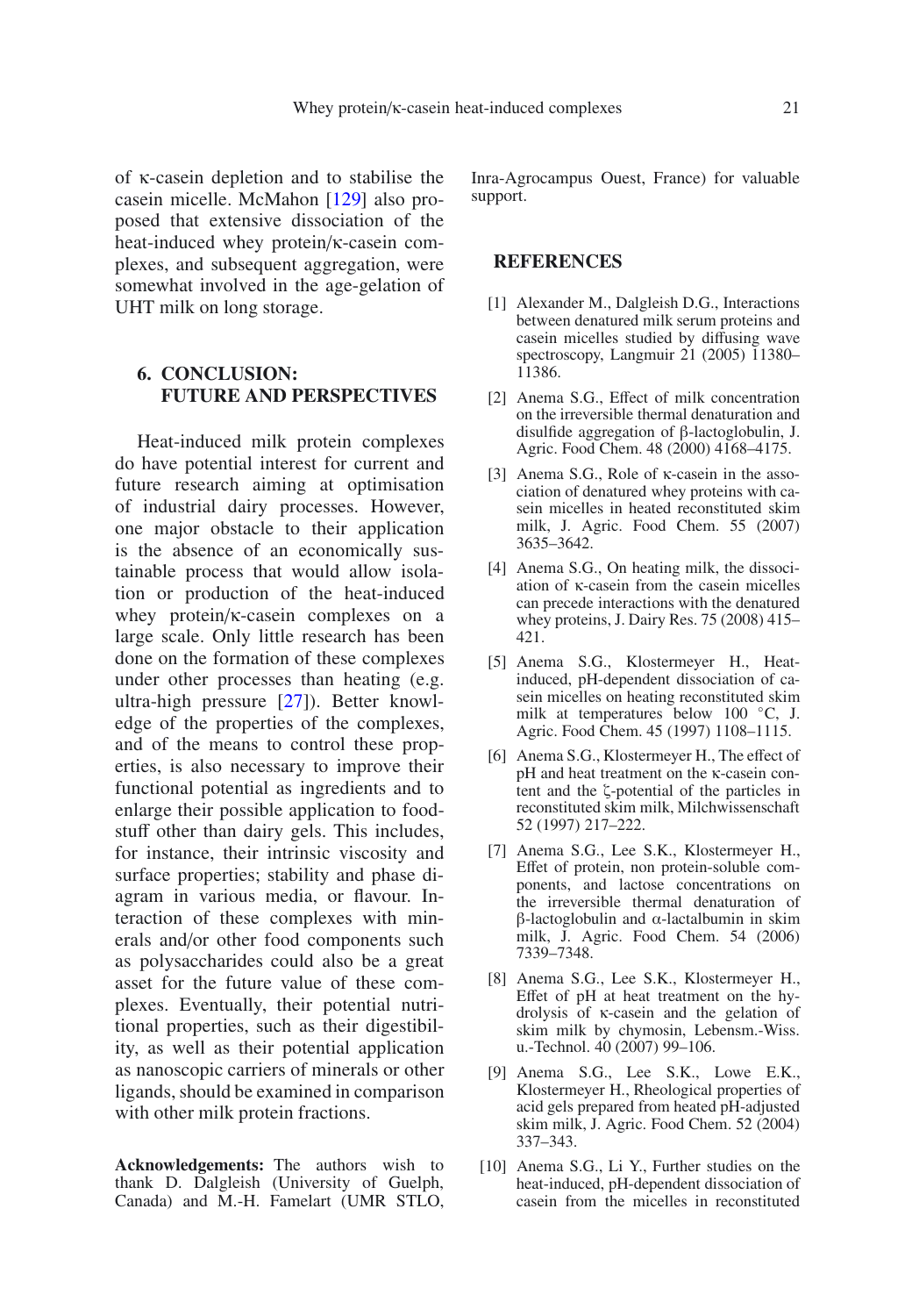of κ-casein depletion and to stabilise the casein micelle. McMahon [\[129\]](#page-24-6) also proposed that extensive dissociation of the heat-induced whey protein/κ-casein complexes, and subsequent aggregation, were somewhat involved in the age-gelation of UHT milk on long storage.

## **6. CONCLUSION: FUTURE AND PERSPECTIVES**

Heat-induced milk protein complexes do have potential interest for current and future research aiming at optimisation of industrial dairy processes. However, one major obstacle to their application is the absence of an economically sustainable process that would allow isolation or production of the heat-induced whey protein/κ-casein complexes on a large scale. Only little research has been done on the formation of these complexes under other processes than heating (e.g. ultra-high pressure [\[27\]](#page-19-21)). Better knowledge of the properties of the complexes, and of the means to control these properties, is also necessary to improve their functional potential as ingredients and to enlarge their possible application to foodstuff other than dairy gels. This includes, for instance, their intrinsic viscosity and surface properties; stability and phase diagram in various media, or flavour. Interaction of these complexes with minerals and/or other food components such as polysaccharides could also be a great asset for the future value of these complexes. Eventually, their potential nutritional properties, such as their digestibility, as well as their potential application as nanoscopic carriers of minerals or other ligands, should be examined in comparison with other milk protein fractions.

**Acknowledgements:** The authors wish to thank D. Dalgleish (University of Guelph, Canada) and M.-H. Famelart (UMR STLO, Inra-Agrocampus Ouest, France) for valuable support.

#### **REFERENCES**

- <span id="page-18-8"></span>[1] Alexander M., Dalgleish D.G., Interactions between denatured milk serum proteins and casein micelles studied by diffusing wave spectroscopy, Langmuir 21 (2005) 11380– 11386.
- <span id="page-18-6"></span>[2] Anema S.G., Effect of milk concentration on the irreversible thermal denaturation and disulfide aggregation of β-lactoglobulin, J. Agric. Food Chem. 48 (2000) 4168–4175.
- <span id="page-18-0"></span>[3] Anema S.G., Role of κ-casein in the association of denatured whey proteins with casein micelles in heated reconstituted skim milk, J. Agric. Food Chem. 55 (2007) 3635–3642.
- <span id="page-18-4"></span>[4] Anema S.G., On heating milk, the dissociation of κ-casein from the casein micelles can precede interactions with the denatured whey proteins, J. Dairy Res. 75 (2008) 415– 421.
- <span id="page-18-2"></span>[5] Anema S.G., Klostermeyer H., Heatinduced, pH-dependent dissociation of casein micelles on heating reconstituted skim milk at temperatures below 100 ◦C, J. Agric. Food Chem. 45 (1997) 1108–1115.
- <span id="page-18-3"></span>[6] Anema S.G., Klostermeyer H., The effect of pH and heat treatment on the κ-casein content and the ζ-potential of the particles in reconstituted skim milk, Milchwissenschaft 52 (1997) 217–222.
- <span id="page-18-7"></span>[7] Anema S.G., Lee S.K., Klostermeyer H., Effet of protein, non protein-soluble components, and lactose concentrations on the irreversible thermal denaturation of β-lactoglobulin and α-lactalbumin in skim milk, J. Agric. Food Chem. 54 (2006) 7339–7348.
- <span id="page-18-5"></span>[8] Anema S.G., Lee S.K., Klostermeyer H., Effet of pH at heat treatment on the hydrolysis of κ-casein and the gelation of skim milk by chymosin, Lebensm.-Wiss. u.-Technol. 40 (2007) 99–106.
- <span id="page-18-9"></span>[9] Anema S.G., Lee S.K., Lowe E.K., Klostermeyer H., Rheological properties of acid gels prepared from heated pH-adjusted skim milk, J. Agric. Food Chem. 52 (2004) 337–343.
- <span id="page-18-1"></span>[10] Anema S.G., Li Y., Further studies on the heat-induced, pH-dependent dissociation of casein from the micelles in reconstituted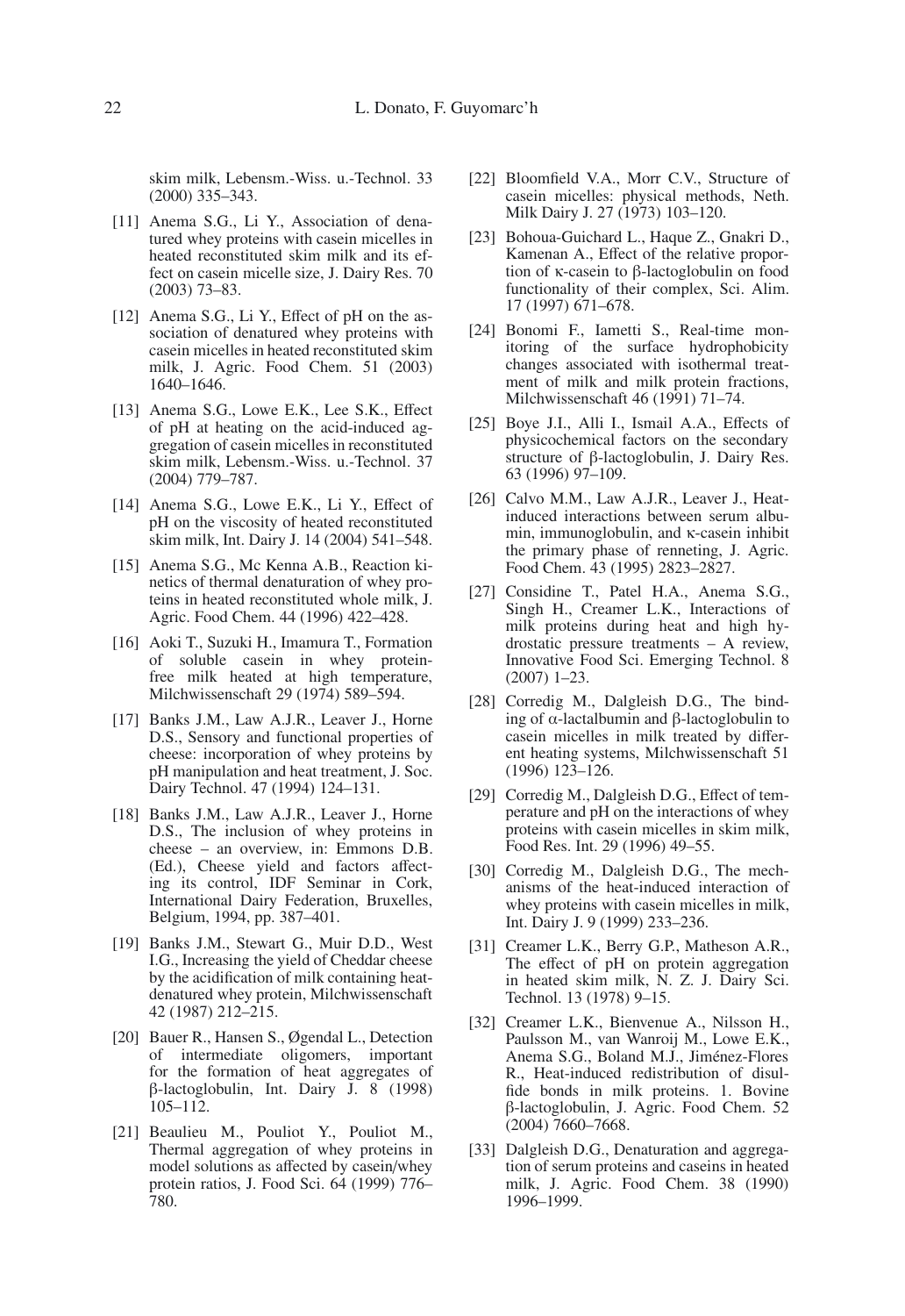skim milk, Lebensm.-Wiss. u.-Technol. 33 (2000) 335–343.

- <span id="page-19-11"></span>[11] Anema S.G., Li Y., Association of denatured whey proteins with casein micelles in heated reconstituted skim milk and its effect on casein micelle size, J. Dairy Res. 70 (2003) 73–83.
- <span id="page-19-10"></span>[12] Anema S.G., Li Y., Effect of pH on the association of denatured whey proteins with casein micelles in heated reconstituted skim milk, J. Agric. Food Chem. 51 (2003) 1640–1646.
- <span id="page-19-12"></span>[13] Anema S.G., Lowe E.K., Lee S.K., Effect of pH at heating on the acid-induced aggregation of casein micelles in reconstituted skim milk, Lebensm.-Wiss. u.-Technol. 37 (2004) 779–787.
- <span id="page-19-13"></span>[14] Anema S.G., Lowe E.K., Li Y., Effect of pH on the viscosity of heated reconstituted skim milk, Int. Dairy J. 14 (2004) 541–548.
- <span id="page-19-0"></span>[15] Anema S.G., Mc Kenna A.B., Reaction kinetics of thermal denaturation of whey proteins in heated reconstituted whole milk, J. Agric. Food Chem. 44 (1996) 422–428.
- <span id="page-19-16"></span>[16] Aoki T., Suzuki H., Imamura T., Formation of soluble casein in whey proteinfree milk heated at high temperature, Milchwissenschaft 29 (1974) 589–594.
- <span id="page-19-17"></span>[17] Banks J.M., Law A.J.R., Leaver J., Horne D.S., Sensory and functional properties of cheese: incorporation of whey proteins by pH manipulation and heat treatment, J. Soc. Dairy Technol. 47 (1994) 124–131.
- [18] Banks J.M., Law A.J.R., Leaver J., Horne D.S., The inclusion of whey proteins in cheese – an overview, in: Emmons D.B. (Ed.), Cheese yield and factors affecting its control, IDF Seminar in Cork, International Dairy Federation, Bruxelles, Belgium, 1994, pp. 387–401.
- <span id="page-19-18"></span>[19] Banks J.M., Stewart G., Muir D.D., West I.G., Increasing the yield of Cheddar cheese by the acidification of milk containing heatdenatured whey protein, Milchwissenschaft 42 (1987) 212–215.
- <span id="page-19-1"></span>[20] Bauer R., Hansen S., Øgendal L., Detection of intermediate oligomers, important for the formation of heat aggregates of β-lactoglobulin, Int. Dairy J. 8 (1998)  $105 - 112$ .
- <span id="page-19-3"></span>[21] Beaulieu M., Pouliot Y., Pouliot M., Thermal aggregation of whey proteins in model solutions as affected by casein/whey protein ratios, J. Food Sci. 64 (1999) 776– 780.
- <span id="page-19-15"></span>[22] Bloomfield V.A., Morr C.V., Structure of casein micelles: physical methods, Neth. Milk Dairy J. 27 (1973) 103–120.
- <span id="page-19-20"></span>[23] Bohoua-Guichard L., Haque Z., Gnakri D., Kamenan A., Effect of the relative proportion of κ-casein to β-lactoglobulin on food functionality of their complex, Sci. Alim. 17 (1997) 671–678.
- <span id="page-19-14"></span>[24] Bonomi F., Iametti S., Real-time monitoring of the surface hydrophobicity changes associated with isothermal treatment of milk and milk protein fractions, Milchwissenschaft 46 (1991) 71–74.
- <span id="page-19-2"></span>[25] Boye J.I., Alli I., Ismail A.A., Effects of physicochemical factors on the secondary structure of β-lactoglobulin, J. Dairy Res. 63 (1996) 97–109.
- <span id="page-19-19"></span>[26] Calvo M.M., Law A.J.R., Leaver J., Heatinduced interactions between serum albumin, immunoglobulin, and κ-casein inhibit the primary phase of renneting, J. Agric. Food Chem. 43 (1995) 2823–2827.
- <span id="page-19-21"></span>[27] Considine T., Patel H.A., Anema S.G., Singh H., Creamer L.K., Interactions of milk proteins during heat and high hydrostatic pressure treatments – A review, Innovative Food Sci. Emerging Technol. 8 (2007) 1–23.
- <span id="page-19-5"></span>[28] Corredig M., Dalgleish D.G., The binding of α-lactalbumin and β-lactoglobulin to casein micelles in milk treated by different heating systems, Milchwissenschaft 51 (1996) 123–126.
- <span id="page-19-7"></span>[29] Corredig M., Dalgleish D.G., Effect of temperature and pH on the interactions of whey proteins with casein micelles in skim milk, Food Res. Int. 29 (1996) 49–55.
- <span id="page-19-6"></span>[30] Corredig M., Dalgleish D.G., The mechanisms of the heat-induced interaction of whey proteins with casein micelles in milk, Int. Dairy J. 9 (1999) 233–236.
- <span id="page-19-9"></span>[31] Creamer L.K., Berry G.P., Matheson A.R., The effect of pH on protein aggregation in heated skim milk, N. Z. J. Dairy Sci. Technol. 13 (1978) 9–15.
- <span id="page-19-8"></span>[32] Creamer L.K., Bienvenue A., Nilsson H., Paulsson M., van Wanroij M., Lowe E.K., Anema S.G., Boland M.J., Jiménez-Flores R., Heat-induced redistribution of disulfide bonds in milk proteins. 1. Bovine β-lactoglobulin, J. Agric. Food Chem. 52 (2004) 7660–7668.
- <span id="page-19-4"></span>[33] Dalgleish D.G., Denaturation and aggregation of serum proteins and caseins in heated milk, J. Agric. Food Chem. 38 (1990) 1996–1999.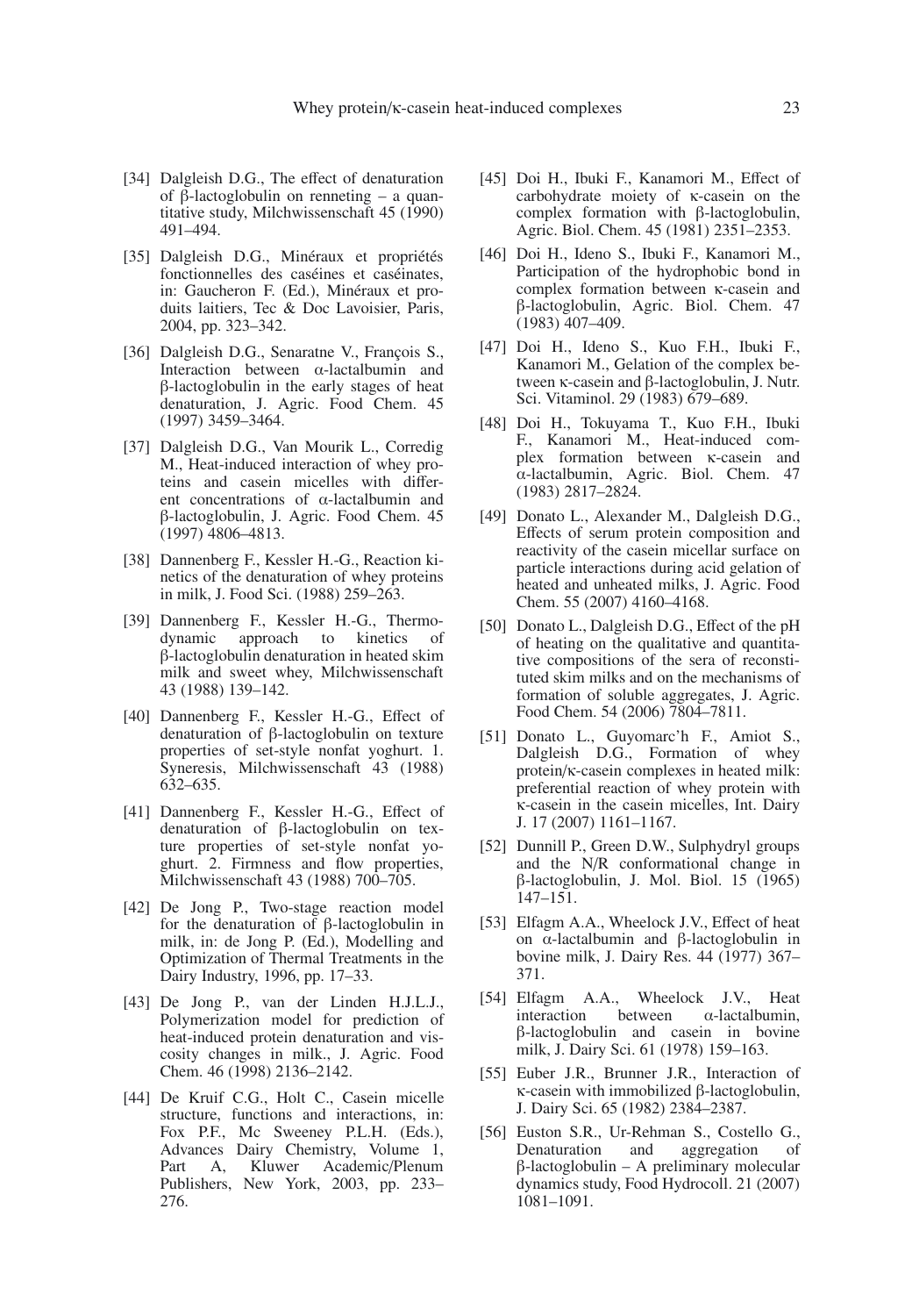- <span id="page-20-12"></span>[34] Dalgleish D.G., The effect of denaturation of β-lactoglobulin on renneting – a quantitative study, Milchwissenschaft 45 (1990) 491–494.
- <span id="page-20-11"></span>[35] Dalgleish D.G., Minéraux et propriétés fonctionnelles des caséines et caséinates, in: Gaucheron F. (Ed.), Minéraux et produits laitiers, Tec & Doc Lavoisier, Paris, 2004, pp. 323–342.
- <span id="page-20-13"></span>[36] Dalgleish D.G., Senaratne V., François S., Interaction between α-lactalbumin and β-lactoglobulin in the early stages of heat denaturation, J. Agric. Food Chem. 45 (1997) 3459–3464.
- <span id="page-20-14"></span>[37] Dalgleish D.G., Van Mourik L., Corredig M., Heat-induced interaction of whey proteins and casein micelles with different concentrations of α-lactalbumin and β-lactoglobulin, J. Agric. Food Chem. 45 (1997) 4806–4813.
- <span id="page-20-0"></span>[38] Dannenberg F., Kessler H.-G., Reaction kinetics of the denaturation of whey proteins in milk, J. Food Sci. (1988) 259–263.
- <span id="page-20-1"></span>[39] Dannenberg F., Kessler H.-G., Thermodynamic approach to kinetics of β-lactoglobulin denaturation in heated skim milk and sweet whey, Milchwissenschaft 43 (1988) 139–142.
- <span id="page-20-20"></span>[40] Dannenberg F., Kessler H.-G., Effect of denaturation of β-lactoglobulin on texture properties of set-style nonfat yoghurt. 1. Syneresis, Milchwissenschaft 43 (1988) 632–635.
- <span id="page-20-5"></span>[41] Dannenberg F., Kessler H.-G., Effect of denaturation of β-lactoglobulin on texture properties of set-style nonfat yoghurt. 2. Firmness and flow properties, Milchwissenschaft 43 (1988) 700-705.
- <span id="page-20-18"></span>[42] De Jong P., Two-stage reaction model for the denaturation of β-lactoglobulin in milk, in: de Jong P. (Ed.), Modelling and Optimization of Thermal Treatments in the Dairy Industry, 1996, pp. 17–33.
- <span id="page-20-2"></span>[43] De Jong P., van der Linden H.J.L.J., Polymerization model for prediction of heat-induced protein denaturation and viscosity changes in milk., J. Agric. Food Chem. 46 (1998) 2136–2142.
- <span id="page-20-19"></span>[44] De Kruif C.G., Holt C., Casein micelle structure, functions and interactions, in: Fox P.F., Mc Sweeney P.L.H. (Eds.), Advances Dairy Chemistry, Volume 1, Part A, Kluwer Academic/Plenum Publishers, New York, 2003, pp. 233– 276.
- <span id="page-20-10"></span>[45] Doi H., Ibuki F., Kanamori M., Effect of carbohydrate moiety of κ-casein on the complex formation with β-lactoglobulin, Agric. Biol. Chem. 45 (1981) 2351–2353.
- <span id="page-20-6"></span>[46] Doi H., Ideno S., Ibuki F., Kanamori M., Participation of the hydrophobic bond in complex formation between κ-casein and β-lactoglobulin, Agric. Biol. Chem. 47 (1983) 407–409.
- <span id="page-20-7"></span>[47] Doi H., Ideno S., Kuo F.H., Ibuki F., Kanamori M., Gelation of the complex between κ-casein and β-lactoglobulin, J. Nutr. Sci. Vitaminol. 29 (1983) 679–689.
- <span id="page-20-8"></span>[48] Doi H., Tokuyama T., Kuo F.H., Ibuki F., Kanamori M., Heat-induced complex formation between κ-casein and α-lactalbumin, Agric. Biol. Chem. 47 (1983) 2817–2824.
- <span id="page-20-22"></span>[49] Donato L., Alexander M., Dalgleish D.G., Effects of serum protein composition and reactivity of the casein micellar surface on particle interactions during acid gelation of heated and unheated milks, J. Agric. Food Chem. 55 (2007) 4160–4168.
- <span id="page-20-9"></span>[50] Donato L., Dalgleish D.G., Effect of the pH of heating on the qualitative and quantitative compositions of the sera of reconstituted skim milks and on the mechanisms of formation of soluble aggregates, J. Agric. Food Chem. 54 (2006) 7804–7811.
- <span id="page-20-4"></span>[51] Donato L., Guyomarc'h F., Amiot S., Dalgleish D.G., Formation of whey protein/κ-casein complexes in heated milk: preferential reaction of whey protein with κ-casein in the casein micelles, Int. Dairy J. 17 (2007) 1161–1167.
- <span id="page-20-21"></span>[52] Dunnill P., Green D.W., Sulphydryl groups and the N/R conformational change in β-lactoglobulin, J. Mol. Biol. 15 (1965) 147–151.
- <span id="page-20-15"></span>[53] Elfagm A.A., Wheelock J.V., Effect of heat on α-lactalbumin and β-lactoglobulin in bovine milk, J. Dairy Res. 44 (1977) 367– 371.
- <span id="page-20-16"></span>[54] Elfagm A.A., Wheelock J.V., Heat interaction between α-lactalbumin, β-lactoglobulin and casein in bovine milk, J. Dairy Sci. 61 (1978) 159–163.
- <span id="page-20-17"></span>[55] Euber J.R., Brunner J.R., Interaction of κ-casein with immobilized β-lactoglobulin, J. Dairy Sci. 65 (1982) 2384–2387.
- <span id="page-20-3"></span>[56] Euston S.R., Ur-Rehman S., Costello G., Denaturation and aggregation of β-lactoglobulin – A preliminary molecular dynamics study, Food Hydrocoll. 21 (2007) 1081–1091.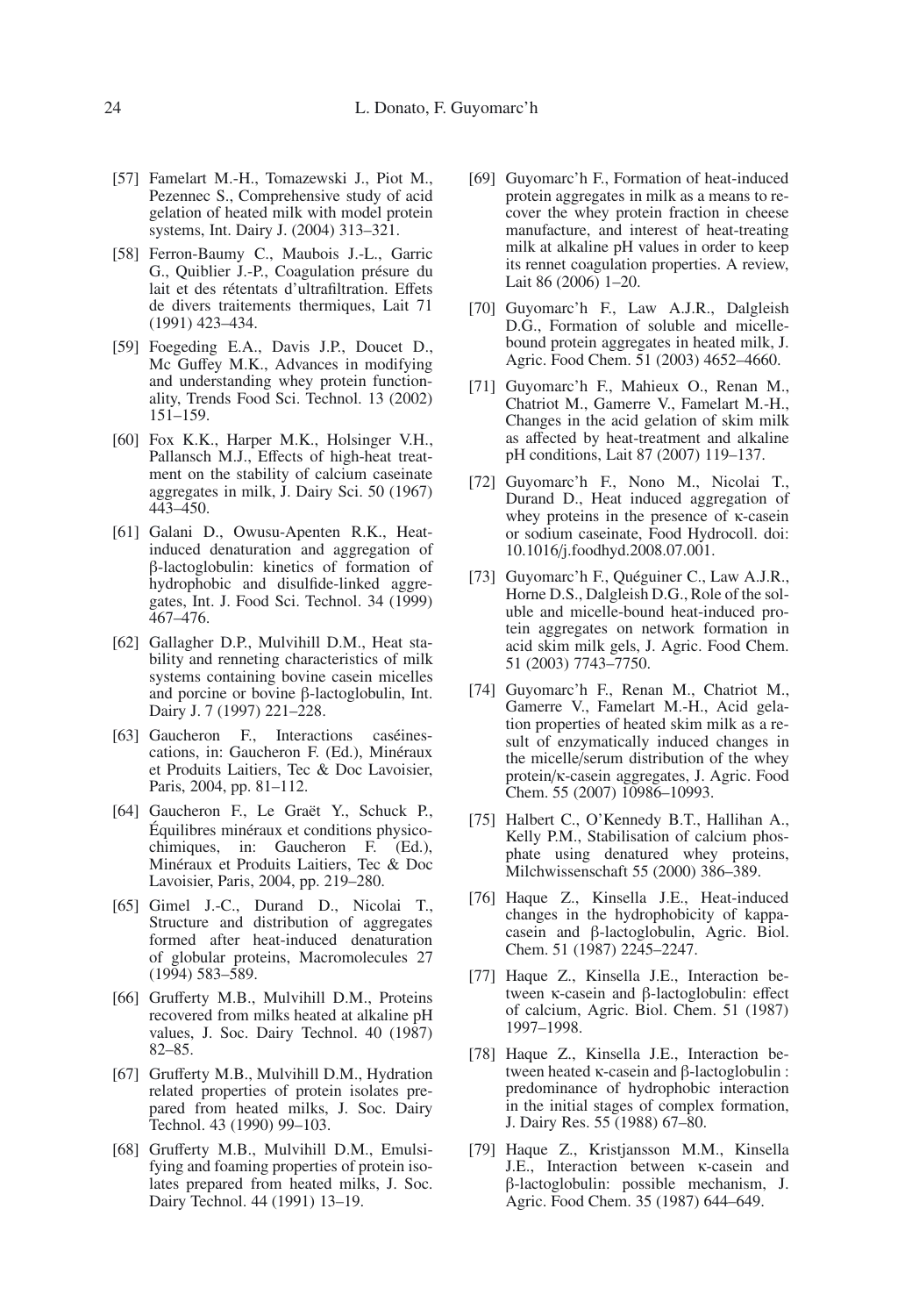- <span id="page-21-13"></span>[57] Famelart M.-H., Tomazewski J., Piot M., Pezennec S., Comprehensive study of acid gelation of heated milk with model protein systems, Int. Dairy J. (2004) 313–321.
- <span id="page-21-17"></span>[58] Ferron-Baumy C., Maubois J.-L., Garric G., Quiblier J.-P., Coagulation présure du lait et des rétentats d'ultrafiltration. Effets de divers traitements thermiques, Lait 71 (1991) 423–434.
- <span id="page-21-18"></span>[59] Foegeding E.A., Davis J.P., Doucet D., Mc Guffey M.K., Advances in modifying and understanding whey protein functionality, Trends Food Sci. Technol. 13 (2002) 151–159.
- <span id="page-21-15"></span>[60] Fox K.K., Harper M.K., Holsinger V.H., Pallansch M.J., Effects of high-heat treatment on the stability of calcium caseinate aggregates in milk, J. Dairy Sci. 50 (1967)  $443 - 450$ .
- <span id="page-21-1"></span>[61] Galani D., Owusu-Apenten R.K., Heatinduced denaturation and aggregation of β-lactoglobulin: kinetics of formation of hydrophobic and disulfide-linked aggregates, Int. J. Food Sci. Technol. 34 (1999) 467–476.
- <span id="page-21-6"></span>[62] Gallagher D.P., Mulvihill D.M., Heat stability and renneting characteristics of milk systems containing bovine casein micelles and porcine or bovine β-lactoglobulin, Int. Dairy J. 7 (1997) 221–228.
- <span id="page-21-16"></span>[63] Gaucheron F., Interactions caséinescations, in: Gaucheron F. (Ed.), Minéraux et Produits Laitiers, Tec & Doc Lavoisier, Paris, 2004, pp. 81–112.
- <span id="page-21-19"></span>[64] Gaucheron F., Le Graët Y., Schuck P., Équilibres minéraux et conditions physicochimiques, in: Gaucheron F. (Ed.), Minéraux et Produits Laitiers, Tec & Doc Lavoisier, Paris, 2004, pp. 219–280.
- <span id="page-21-2"></span>[65] Gimel J.-C., Durand D., Nicolai T., Structure and distribution of aggregates formed after heat-induced denaturation of globular proteins, Macromolecules 27 (1994) 583–589.
- <span id="page-21-20"></span>[66] Grufferty M.B., Mulvihill D.M., Proteins recovered from milks heated at alkaline pH values, J. Soc. Dairy Technol. 40 (1987) 82–85.
- <span id="page-21-21"></span>[67] Grufferty M.B., Mulvihill D.M., Hydration related properties of protein isolates prepared from heated milks, J. Soc. Dairy Technol. 43 (1990) 99–103.
- <span id="page-21-22"></span>[68] Grufferty M.B., Mulvihill D.M., Emulsifying and foaming properties of protein isolates prepared from heated milks, J. Soc. Dairy Technol. 44 (1991) 13–19.
- <span id="page-21-3"></span>[69] Guyomarc'h F., Formation of heat-induced protein aggregates in milk as a means to recover the whey protein fraction in cheese manufacture, and interest of heat-treating milk at alkaline pH values in order to keep its rennet coagulation properties. A review, Lait 86 (2006) 1–20.
- <span id="page-21-0"></span>[70] Guyomarc'h F., Law A.J.R., Dalgleish D.G., Formation of soluble and micellebound protein aggregates in heated milk, J. Agric. Food Chem. 51 (2003) 4652–4660.
- <span id="page-21-14"></span>[71] Guyomarc'h F., Mahieux O., Renan M., Chatriot M., Gamerre V., Famelart M.-H., Changes in the acid gelation of skim milk as affected by heat-treatment and alkaline pH conditions, Lait 87 (2007) 119–137.
- <span id="page-21-10"></span>[72] Guyomarc'h F., Nono M., Nicolai T., Durand D., Heat induced aggregation of whey proteins in the presence of κ-casein or sodium caseinate, Food Hydrocoll. doi: 10.1016/j.foodhyd.2008.07.001.
- <span id="page-21-12"></span>[73] Guyomarc'h F., Quéguiner C., Law A.J.R., Horne D.S., Dalgleish D.G., Role of the soluble and micelle-bound heat-induced protein aggregates on network formation in acid skim milk gels, J. Agric. Food Chem. 51 (2003) 7743–7750.
- <span id="page-21-11"></span>[74] Guyomarc'h F., Renan M., Chatriot M., Gamerre V., Famelart M.-H., Acid gelation properties of heated skim milk as a result of enzymatically induced changes in the micelle/serum distribution of the whey protein/κ-casein aggregates, J. Agric. Food Chem. 55 (2007) 10986–10993.
- <span id="page-21-8"></span>[75] Halbert C., O'Kennedy B.T., Hallihan A., Kelly P.M., Stabilisation of calcium phosphate using denatured whey proteins, Milchwissenschaft 55 (2000) 386–389.
- <span id="page-21-4"></span>[76] Haque Z., Kinsella J.E., Heat-induced changes in the hydrophobicity of kappacasein and β-lactoglobulin, Agric. Biol. Chem. 51 (1987) 2245–2247.
- <span id="page-21-7"></span>[77] Haque Z., Kinsella J.E., Interaction between κ-casein and β-lactoglobulin: effect of calcium, Agric. Biol. Chem. 51 (1987) 1997–1998.
- <span id="page-21-5"></span>[78] Haque Z., Kinsella J.E., Interaction between heated κ-casein and β-lactoglobulin : predominance of hydrophobic interaction in the initial stages of complex formation, J. Dairy Res. 55 (1988) 67–80.
- <span id="page-21-9"></span>[79] Haque Z., Kristjansson M.M., Kinsella J.E., Interaction between κ-casein and β-lactoglobulin: possible mechanism, J. Agric. Food Chem. 35 (1987) 644–649.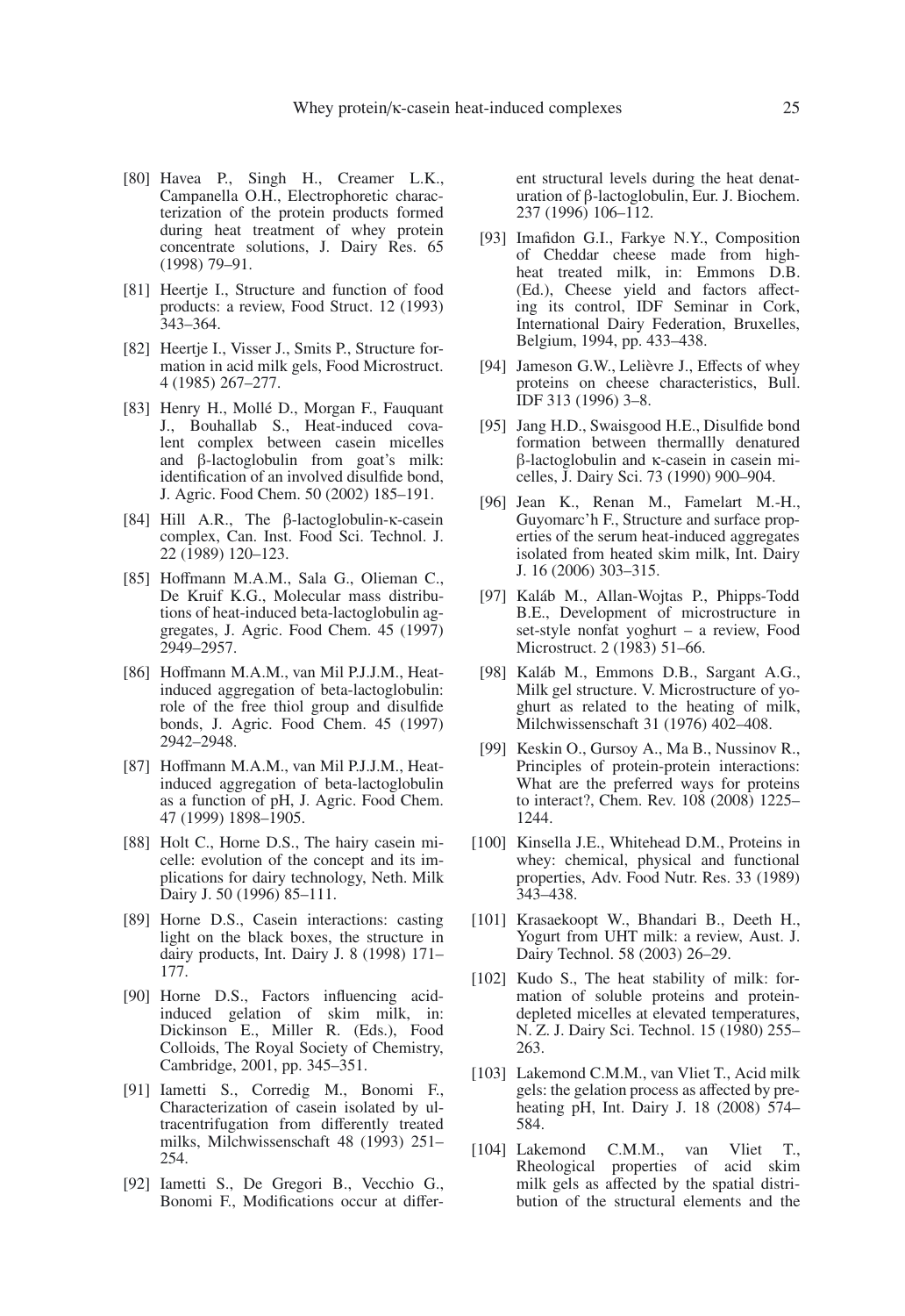- <span id="page-22-1"></span>[80] Havea P., Singh H., Creamer L.K., Campanella O.H., Electrophoretic characterization of the protein products formed during heat treatment of whey protein concentrate solutions, J. Dairy Res. 65 (1998) 79–91.
- <span id="page-22-12"></span>[81] Heertie I., Structure and function of food products: a review, Food Struct. 12 (1993)  $343 - 364$ .
- <span id="page-22-11"></span>[82] Heertie I., Visser J., Smits P., Structure formation in acid milk gels, Food Microstruct. 4 (1985) 267–277.
- <span id="page-22-8"></span>[83] Henry H., Mollé D., Morgan F., Fauquant J., Bouhallab S., Heat-induced covalent complex between casein micelles and β-lactoglobulin from goat's milk: identification of an involved disulfide bond, J. Agric. Food Chem. 50 (2002) 185–191.
- <span id="page-22-6"></span>[84] Hill A.R., The β-lactoglobulin-κ-casein complex, Can. Inst. Food Sci. Technol. J. 22 (1989) 120–123.
- <span id="page-22-3"></span>[85] Hoffmann M.A.M., Sala G., Olieman C., De Kruif K.G., Molecular mass distributions of heat-induced beta-lactoglobulin aggregates, J. Agric. Food Chem. 45 (1997) 2949–2957.
- [86] Hoffmann M.A.M., van Mil P.J.J.M., Heatinduced aggregation of beta-lactoglobulin: role of the free thiol group and disulfide bonds, J. Agric. Food Chem. 45 (1997) 2942–2948.
- <span id="page-22-4"></span>[87] Hoffmann M.A.M., van Mil P.J.J.M., Heatinduced aggregation of beta-lactoglobulin as a function of pH, J. Agric. Food Chem. 47 (1999) 1898–1905.
- <span id="page-22-10"></span>[88] Holt C., Horne D.S., The hairy casein micelle: evolution of the concept and its implications for dairy technology, Neth. Milk Dairy J. 50 (1996) 85–111.
- <span id="page-22-16"></span>[89] Horne D.S., Casein interactions: casting light on the black boxes, the structure in dairy products, Int. Dairy J. 8 (1998) 171– 177.
- <span id="page-22-21"></span>[90] Horne D.S., Factors influencing acidinduced gelation of skim milk, in: Dickinson E., Miller R. (Eds.), Food Colloids, The Royal Society of Chemistry, Cambridge, 2001, pp. 345–351.
- <span id="page-22-13"></span>[91] Iametti S., Corredig M., Bonomi F., Characterization of casein isolated by ultracentrifugation from differently treated milks, Milchwissenschaft 48 (1993) 251– 254.
- <span id="page-22-5"></span>[92] Iametti S., De Gregori B., Vecchio G., Bonomi F., Modifications occur at differ-

ent structural levels during the heat denaturation of β-lactoglobulin, Eur. J. Biochem. 237 (1996) 106–112.

- <span id="page-22-22"></span>[93] Imafidon G.I., Farkye N.Y., Composition of Cheddar cheese made from highheat treated milk, in: Emmons D.B. (Ed.), Cheese yield and factors affecting its control, IDF Seminar in Cork, International Dairy Federation, Bruxelles, Belgium, 1994, pp. 433–438.
- <span id="page-22-23"></span>[94] Jameson G.W., Lelièvre J., Effects of whey proteins on cheese characteristics, Bull. IDF 313 (1996) 3–8.
- <span id="page-22-2"></span>[95] Jang H.D., Swaisgood H.E., Disulfide bond formation between thermallly denatured β-lactoglobulin and κ-casein in casein micelles, J. Dairy Sci. 73 (1990) 900–904.
- <span id="page-22-7"></span>[96] Jean K., Renan M., Famelart M.-H., Guyomarc'h F., Structure and surface properties of the serum heat-induced aggregates isolated from heated skim milk, Int. Dairy J. 16 (2006) 303–315.
- <span id="page-22-9"></span>[97] Kaláb M., Allan-Wojtas P., Phipps-Todd B.E., Development of microstructure in set-style nonfat yoghurt – a review, Food Microstruct. 2 (1983) 51–66.
- <span id="page-22-19"></span>[98] Kaláb M., Emmons D.B., Sargant A.G., Milk gel structure. V. Microstructure of yoghurt as related to the heating of milk, Milchwissenschaft 31 (1976) 402–408.
- <span id="page-22-17"></span>[99] Keskin O., Gursoy A., Ma B., Nussinov R., Principles of protein-protein interactions: What are the preferred ways for proteins to interact?, Chem. Rev. 108 (2008) 1225– 1244.
- <span id="page-22-0"></span>[100] Kinsella J.E., Whitehead D.M., Proteins in whey: chemical, physical and functional properties, Adv. Food Nutr. Res. 33 (1989)  $343 - 438$ .
- <span id="page-22-18"></span>[101] Krasaekoopt W., Bhandari B., Deeth H., Yogurt from UHT milk: a review, Aust. J. Dairy Technol. 58 (2003) 26–29.
- <span id="page-22-14"></span>[102] Kudo S., The heat stability of milk: formation of soluble proteins and proteindepleted micelles at elevated temperatures, N. Z. J. Dairy Sci. Technol. 15 (1980) 255– 263.
- <span id="page-22-15"></span>[103] Lakemond C.M.M., van Vliet T., Acid milk gels: the gelation process as affected by preheating pH, Int. Dairy J. 18 (2008) 574– 584.
- <span id="page-22-20"></span>[104] Lakemond C.M.M., van Vliet T., Rheological properties of acid skim milk gels as affected by the spatial distribution of the structural elements and the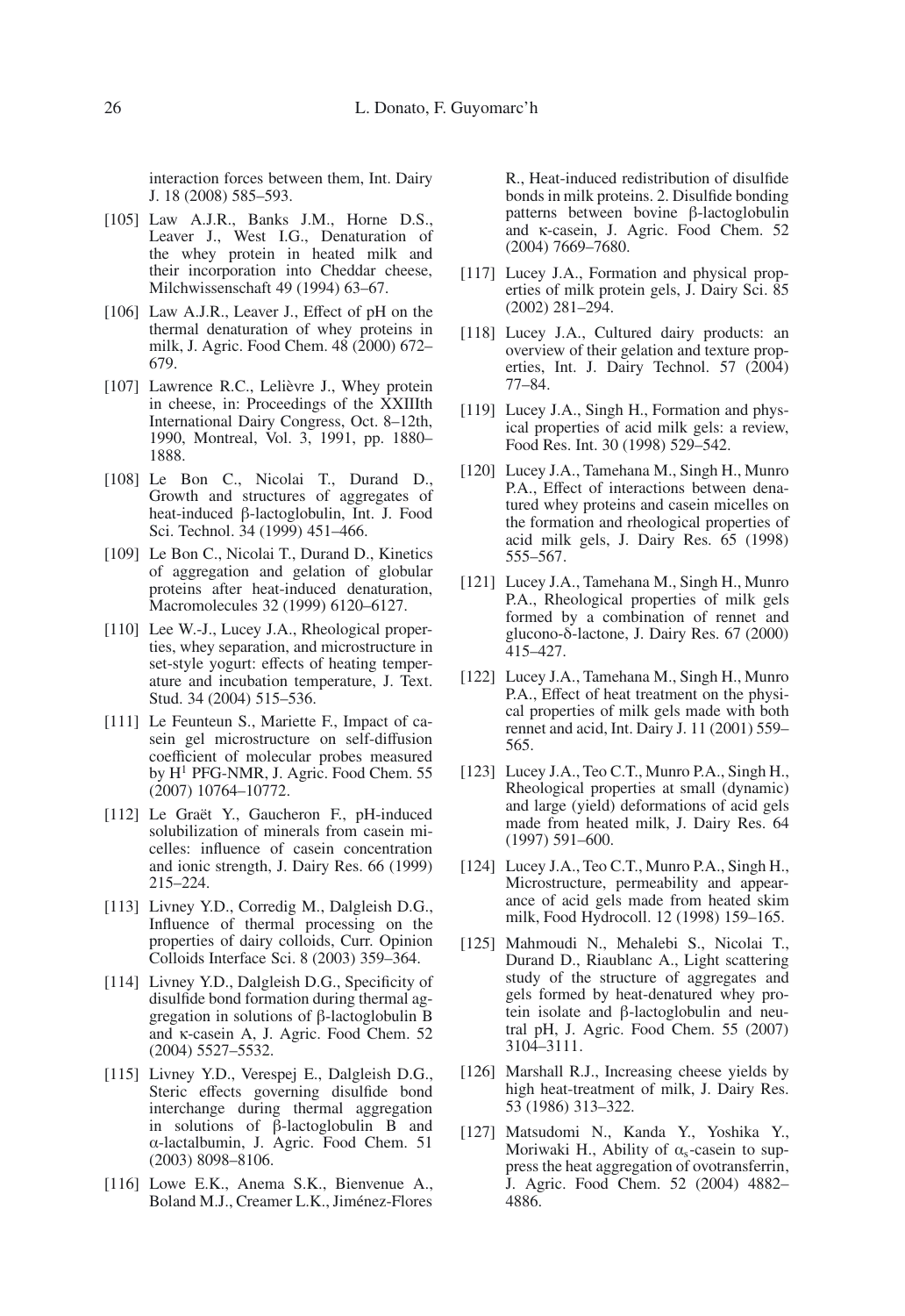interaction forces between them, Int. Dairy J. 18 (2008) 585–593.

- <span id="page-23-3"></span>[105] Law A.J.R., Banks J.M., Horne D.S., Leaver J., West I.G., Denaturation of the whey protein in heated milk and their incorporation into Cheddar cheese, Milchwissenschaft 49 (1994) 63–67.
- <span id="page-23-10"></span>[106] Law A.J.R., Leaver J., Effect of pH on the thermal denaturation of whey proteins in milk, J. Agric. Food Chem. 48 (2000) 672– 679.
- <span id="page-23-20"></span>[107] Lawrence R.C., Lelièvre J., Whey protein in cheese, in: Proceedings of the XXIIIth International Dairy Congress, Oct. 8–12th, 1990, Montreal, Vol. 3, 1991, pp. 1880– 1888.
- <span id="page-23-0"></span>[108] Le Bon C., Nicolai T., Durand D., Growth and structures of aggregates of heat-induced β-lactoglobulin, Int. J. Food Sci. Technol. 34 (1999) 451–466.
- <span id="page-23-1"></span>[109] Le Bon C., Nicolai T., Durand D., Kinetics of aggregation and gelation of globular proteins after heat-induced denaturation, Macromolecules 32 (1999) 6120–6127.
- <span id="page-23-14"></span>[110] Lee W.-J., Lucey J.A., Rheological properties, whey separation, and microstructure in set-style yogurt: effects of heating temperature and incubation temperature, J. Text. Stud. 34 (2004) 515–536.
- <span id="page-23-8"></span>[111] Le Feunteun S., Mariette F., Impact of casein gel microstructure on self-diffusion coefficient of molecular probes measured by H<sup>1</sup> PFG-NMR, J. Agric. Food Chem. 55 (2007) 10764–10772.
- <span id="page-23-11"></span>[112] Le Graët Y., Gaucheron F., pH-induced solubilization of minerals from casein micelles: influence of casein concentration and ionic strength, J. Dairy Res. 66 (1999) 215–224.
- <span id="page-23-15"></span>[113] Livney Y.D., Corredig M., Dalgleish D.G., Influence of thermal processing on the properties of dairy colloids, Curr. Opinion Colloids Interface Sci. 8 (2003) 359–364.
- <span id="page-23-5"></span>[114] Livney Y.D., Dalgleish D.G., Specificity of disulfide bond formation during thermal aggregation in solutions of β-lactoglobulin B and κ-casein A, J. Agric. Food Chem. 52 (2004) 5527–5532.
- <span id="page-23-6"></span>[115] Livney Y.D., Verespej E., Dalgleish D.G., Steric effects governing disulfide bond interchange during thermal aggregation in solutions of β-lactoglobulin B and α-lactalbumin, J. Agric. Food Chem. 51 (2003) 8098–8106.
- <span id="page-23-4"></span>[116] Lowe E.K., Anema S.K., Bienvenue A., Boland M.J., Creamer L.K., Jiménez-Flores

R., Heat-induced redistribution of disulfide bonds in milk proteins. 2. Disulfide bonding patterns between bovine β-lactoglobulin and κ-casein, J. Agric. Food Chem. 52 (2004) 7669–7680.

- <span id="page-23-16"></span>[117] Lucey J.A., Formation and physical properties of milk protein gels, J. Dairy Sci. 85 (2002) 281–294.
- [118] Lucey J.A., Cultured dairy products: an overview of their gelation and texture properties, Int. J. Dairy Technol. 57 (2004) 77–84.
- <span id="page-23-17"></span>[119] Lucey J.A., Singh H., Formation and physical properties of acid milk gels: a review, Food Res. Int. 30 (1998) 529–542.
- <span id="page-23-7"></span>[120] Lucey J.A., Tamehana M., Singh H., Munro P.A., Effect of interactions between denatured whey proteins and casein micelles on the formation and rheological properties of acid milk gels, J. Dairy Res. 65 (1998) 555–567.
- <span id="page-23-18"></span>[121] Lucey J.A., Tamehana M., Singh H., Munro P.A., Rheological properties of milk gels formed by a combination of rennet and glucono-δ-lactone, J. Dairy Res. 67 (2000) 415–427.
- <span id="page-23-19"></span>[122] Lucey J.A., Tamehana M., Singh H., Munro P.A., Effect of heat treatment on the physical properties of milk gels made with both rennet and acid, Int. Dairy J. 11 (2001) 559– 565.
- <span id="page-23-2"></span>[123] Lucey J.A., Teo C.T., Munro P.A., Singh H., Rheological properties at small (dynamic) and large (yield) deformations of acid gels made from heated milk, J. Dairy Res. 64 (1997) 591–600.
- <span id="page-23-13"></span>[124] Lucey J.A., Teo C.T., Munro P.A., Singh H., Microstructure, permeability and appearance of acid gels made from heated skim milk, Food Hydrocoll. 12 (1998) 159–165.
- <span id="page-23-12"></span>[125] Mahmoudi N., Mehalebi S., Nicolai T., Durand D., Riaublanc A., Light scattering study of the structure of aggregates and gels formed by heat-denatured whey protein isolate and β-lactoglobulin and neutral pH, J. Agric. Food Chem. 55 (2007) 3104–3111.
- <span id="page-23-21"></span>[126] Marshall R.J., Increasing cheese yields by high heat-treatment of milk, J. Dairy Res. 53 (1986) 313–322.
- <span id="page-23-9"></span>[127] Matsudomi N., Kanda Y., Yoshika Y., Moriwaki H., Ability of  $\alpha_s$ -casein to suppress the heat aggregation of ovotransferrin, J. Agric. Food Chem. 52 (2004) 4882– 4886.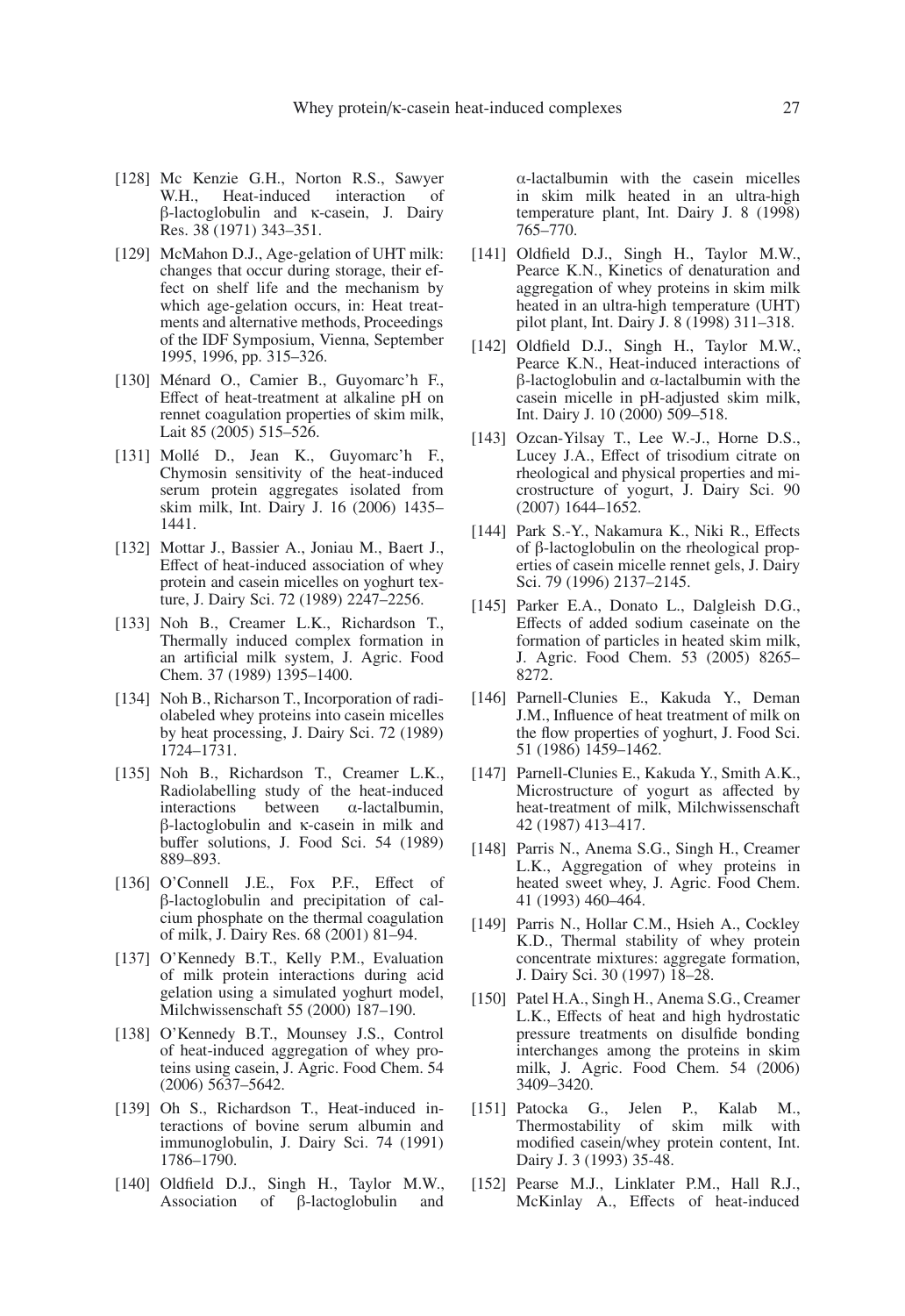- <span id="page-24-7"></span>[128] Mc Kenzie G.H., Norton R.S., Sawyer Heat-induced interaction of β-lactoglobulin and κ-casein, J. Dairy Res. 38 (1971) 343–351.
- <span id="page-24-6"></span>[129] McMahon D.J., Age-gelation of UHT milk: changes that occur during storage, their effect on shelf life and the mechanism by which age-gelation occurs, in: Heat treatments and alternative methods, Proceedings of the IDF Symposium, Vienna, September 1995, 1996, pp. 315–326.
- <span id="page-24-15"></span>[130] Ménard O., Camier B., Guyomarc'h F., Effect of heat-treatment at alkaline pH on rennet coagulation properties of skim milk, Lait 85 (2005) 515–526.
- <span id="page-24-19"></span>[131] Mollé D., Jean K., Guyomarc'h F., Chymosin sensitivity of the heat-induced serum protein aggregates isolated from skim milk, Int. Dairy J. 16 (2006) 1435– 1441.
- <span id="page-24-17"></span>[132] Mottar J., Bassier A., Joniau M., Baert J., Effect of heat-induced association of whey protein and casein micelles on yoghurt texture, J. Dairy Sci. 72 (1989) 2247–2256.
- <span id="page-24-9"></span>[133] Noh B., Creamer L.K., Richardson T., Thermally induced complex formation in an artificial milk system, J. Agric. Food Chem. 37 (1989) 1395–1400.
- <span id="page-24-8"></span>[134] Noh B., Richarson T., Incorporation of radiolabeled whey proteins into casein micelles by heat processing, J. Dairy Sci. 72 (1989) 1724–1731.
- <span id="page-24-2"></span>[135] Noh B., Richardson T., Creamer L.K., Radiolabelling study of the heat-induced interactions between  $\alpha$ -lactal bumin.  $\alpha$ -lactalbumin, β-lactoglobulin and κ-casein in milk and buffer solutions, J. Food Sci. 54 (1989) 889–893.
- <span id="page-24-13"></span>[136] O'Connell J.E., Fox P.F., Effect of β-lactoglobulin and precipitation of calcium phosphate on the thermal coagulation of milk, J. Dairy Res. 68 (2001) 81–94.
- <span id="page-24-23"></span>[137] O'Kennedy B.T., Kelly P.M., Evaluation of milk protein interactions during acid gelation using a simulated yoghurt model, Milchwissenschaft 55 (2000) 187–190.
- <span id="page-24-20"></span>[138] O'Kennedy B.T., Mounsey J.S., Control of heat-induced aggregation of whey proteins using casein, J. Agric. Food Chem. 54 (2006) 5637–5642.
- <span id="page-24-11"></span>[139] Oh S., Richardson T., Heat-induced interactions of bovine serum albumin and immunoglobulin, J. Dairy Sci. 74 (1991) 1786–1790.
- <span id="page-24-3"></span>[140] Oldfield D.J., Singh H., Taylor M.W., Association of β-lactoglobulin and

α-lactalbumin with the casein micelles in skim milk heated in an ultra-high temperature plant, Int. Dairy J. 8 (1998) 765–770.

- <span id="page-24-4"></span>[141] Oldfield D.J., Singh H., Taylor M.W., Pearce K.N., Kinetics of denaturation and aggregation of whey proteins in skim milk heated in an ultra-high temperature (UHT) pilot plant, Int. Dairy J. 8 (1998) 311–318.
- <span id="page-24-16"></span>[142] Oldfield D.J., Singh H., Taylor M.W., Pearce K.N., Heat-induced interactions of β-lactoglobulin and α-lactalbumin with the casein micelle in pH-adjusted skim milk, Int. Dairy J. 10 (2000) 509–518.
- <span id="page-24-24"></span>[143] Ozcan-Yilsay T., Lee W.-J., Horne D.S., Lucey J.A., Effect of trisodium citrate on rheological and physical properties and microstructure of yogurt, J. Dairy Sci. 90 (2007) 1644–1652.
- <span id="page-24-18"></span>[144] Park S.-Y., Nakamura K., Niki R., Effects of β-lactoglobulin on the rheological properties of casein micelle rennet gels, J. Dairy Sci. 79 (1996) 2137–2145.
- <span id="page-24-14"></span>[145] Parker E.A., Donato L., Dalgleish D.G., Effects of added sodium caseinate on the formation of particles in heated skim milk, J. Agric. Food Chem. 53 (2005) 8265– 8272.
- <span id="page-24-21"></span>[146] Parnell-Clunies E., Kakuda Y., Deman J.M., Influence of heat treatment of milk on the flow properties of yoghurt, J. Food Sci. 51 (1986) 1459–1462.
- <span id="page-24-22"></span>[147] Parnell-Clunies E., Kakuda Y., Smith A.K., Microstructure of yogurt as affected by heat-treatment of milk, Milchwissenschaft 42 (1987) 413–417.
- <span id="page-24-0"></span>[148] Parris N., Anema S.G., Singh H., Creamer L.K., Aggregation of whey proteins in heated sweet whey, J. Agric. Food Chem. 41 (1993) 460–464.
- <span id="page-24-1"></span>[149] Parris N., Hollar C.M., Hsieh A., Cockley K.D., Thermal stability of whey protein concentrate mixtures: aggregate formation, J. Dairy Sci. 30 (1997) 18–28.
- <span id="page-24-10"></span>[150] Patel H.A., Singh H., Anema S.G., Creamer L.K., Effects of heat and high hydrostatic pressure treatments on disulfide bonding interchanges among the proteins in skim milk, J. Agric. Food Chem. 54 (2006) 3409–3420.
- <span id="page-24-5"></span>[151] Patocka G., Jelen P., Kalab M., Thermostability of skim milk with modified casein/whey protein content, Int. Dairy J. 3 (1993) 35-48.
- <span id="page-24-12"></span>[152] Pearse M.J., Linklater P.M., Hall R.J., McKinlay A., Effects of heat-induced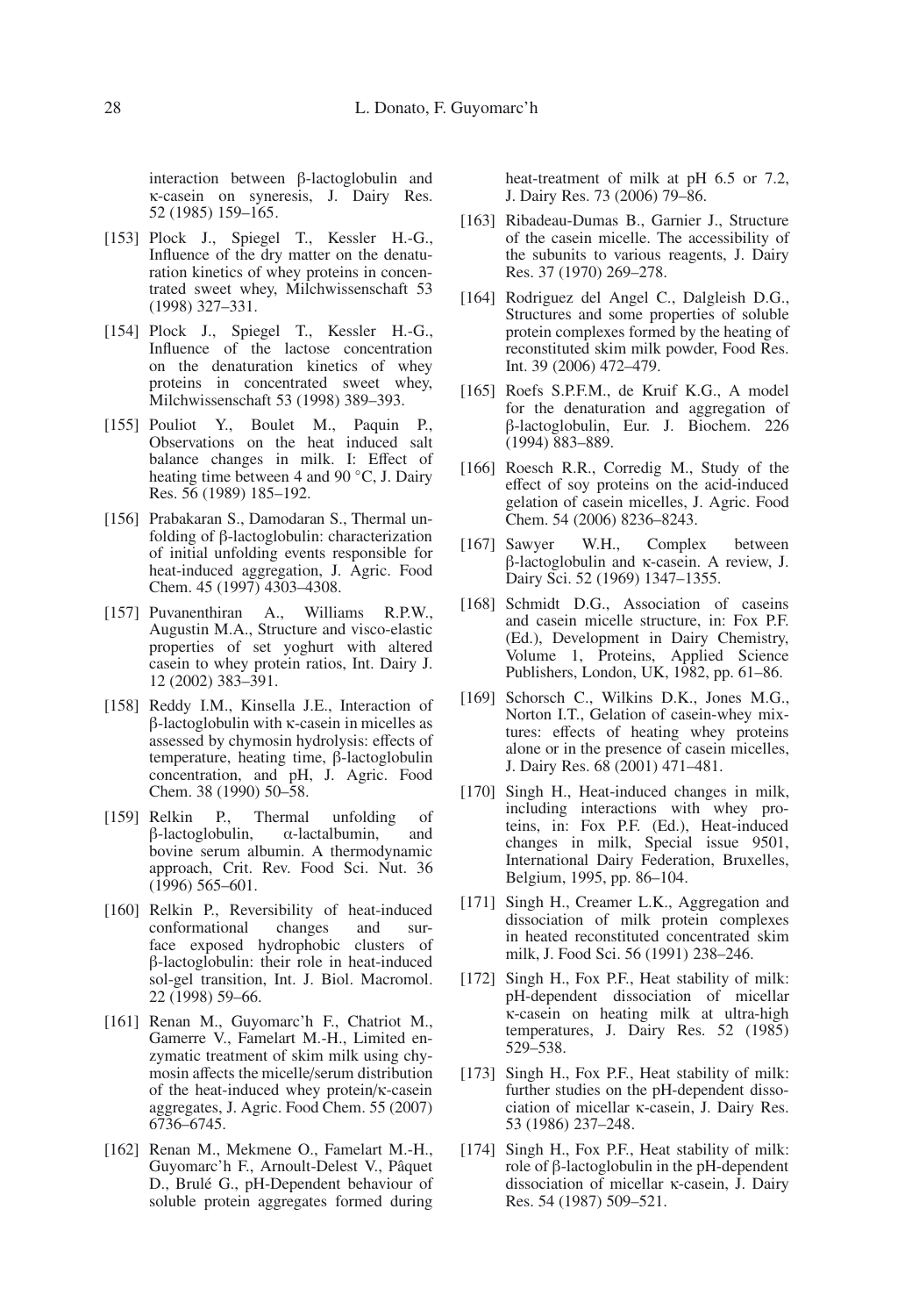interaction between β-lactoglobulin and κ-casein on syneresis, J. Dairy Res. 52 (1985) 159–165.

- <span id="page-25-14"></span>[153] Plock J., Spiegel T., Kessler H.-G., Influence of the dry matter on the denaturation kinetics of whey proteins in concentrated sweet whey, Milchwissenschaft 53 (1998) 327–331.
- <span id="page-25-15"></span>[154] Plock J., Spiegel T., Kessler H.-G., Influence of the lactose concentration on the denaturation kinetics of whey proteins in concentrated sweet whey, Milchwissenschaft 53 (1998) 389–393.
- <span id="page-25-20"></span>[155] Pouliot Y., Boulet M., Paquin P., Observations on the heat induced salt balance changes in milk. I: Effect of heating time between 4 and 90 ◦C, J. Dairy Res. 56 (1989) 185–192.
- <span id="page-25-2"></span>[156] Prabakaran S., Damodaran S., Thermal unfolding of β-lactoglobulin: characterization of initial unfolding events responsible for heat-induced aggregation, J. Agric. Food Chem. 45 (1997) 4303–4308.
- <span id="page-25-13"></span>[157] Puvanenthiran A., Williams R.P.W., Augustin M.A., Structure and visco-elastic properties of set yoghurt with altered casein to whey protein ratios, Int. Dairy J. 12 (2002) 383–391.
- <span id="page-25-7"></span>[158] Reddy I.M., Kinsella J.E., Interaction of β-lactoglobulin with κ-casein in micelles as assessed by chymosin hydrolysis: effects of temperature, heating time, β-lactoglobulin concentration, and pH, J. Agric. Food Chem. 38 (1990) 50–58.
- <span id="page-25-0"></span>[159] Relkin P., Thermal unfolding of <br>  $\beta$ -lactoglobulin,  $\alpha$ -lactalbumin, and  $\alpha$ -lactalbumin, and bovine serum albumin. A thermodynamic approach, Crit. Rev. Food Sci. Nut. 36 (1996) 565–601.
- <span id="page-25-12"></span>[160] Relkin P., Reversibility of heat-induced conformational changes and surface exposed hydrophobic clusters of β-lactoglobulin: their role in heat-induced sol-gel transition, Int. J. Biol. Macromol. 22 (1998) 59–66.
- <span id="page-25-5"></span>[161] Renan M., Guyomarc'h F., Chatriot M., Gamerre V., Famelart M.-H., Limited enzymatic treatment of skim milk using chymosin affects the micelle/serum distribution of the heat-induced whey protein/κ-casein aggregates, J. Agric. Food Chem. 55 (2007) 6736–6745.
- <span id="page-25-6"></span>[162] Renan M., Mekmene O., Famelart M.-H., Guyomarc'h F., Arnoult-Delest V., Pâquet D., Brulé G., pH-Dependent behaviour of soluble protein aggregates formed during

heat-treatment of milk at pH 6.5 or 7.2, J. Dairy Res. 73 (2006) 79–86.

- <span id="page-25-10"></span>[163] Ribadeau-Dumas B., Garnier J., Structure of the casein micelle. The accessibility of the subunits to various reagents, J. Dairy Res. 37 (1970) 269–278.
- <span id="page-25-11"></span>[164] Rodriguez del Angel C., Dalgleish D.G., Structures and some properties of soluble protein complexes formed by the heating of reconstituted skim milk powder, Food Res. Int. 39 (2006) 472–479.
- <span id="page-25-3"></span>[165] Roefs S.P.F.M., de Kruif K.G., A model for the denaturation and aggregation of β-lactoglobulin, Eur. J. Biochem. 226 (1994) 883–889.
- <span id="page-25-16"></span>[166] Roesch R.R., Corredig M., Study of the effect of soy proteins on the acid-induced gelation of casein micelles, J. Agric. Food Chem. 54 (2006) 8236–8243.
- <span id="page-25-4"></span>[167] Sawyer W.H., Complex between β-lactoglobulin and κ-casein. A review, J. Dairy Sci. 52 (1969) 1347–1355.
- <span id="page-25-18"></span>[168] Schmidt D.G., Association of caseins and casein micelle structure, in: Fox P.F. (Ed.), Development in Dairy Chemistry, Volume 1, Proteins, Applied Science Publishers, London, UK, 1982, pp. 61–86.
- <span id="page-25-21"></span>[169] Schorsch C., Wilkins D.K., Jones M.G., Norton I.T., Gelation of casein-whey mixtures: effects of heating whey proteins alone or in the presence of casein micelles, J. Dairy Res. 68 (2001) 471–481.
- <span id="page-25-19"></span>[170] Singh H., Heat-induced changes in milk, including interactions with whey proteins, in: Fox P.F. (Ed.), Heat-induced changes in milk, Special issue 9501, International Dairy Federation, Bruxelles, Belgium, 1995, pp. 86–104.
- <span id="page-25-1"></span>[171] Singh H., Creamer L.K., Aggregation and dissociation of milk protein complexes in heated reconstituted concentrated skim milk, J. Food Sci. 56 (1991) 238–246.
- <span id="page-25-17"></span>[172] Singh H., Fox P.F., Heat stability of milk: pH-dependent dissociation of micellar κ-casein on heating milk at ultra-high temperatures, J. Dairy Res. 52 (1985) 529–538.
- <span id="page-25-8"></span>[173] Singh H., Fox P.F., Heat stability of milk: further studies on the pH-dependent dissociation of micellar κ-casein, J. Dairy Res. 53 (1986) 237–248.
- <span id="page-25-9"></span>[174] Singh H., Fox P.F., Heat stability of milk: role of β-lactoglobulin in the pH-dependent dissociation of micellar κ-casein, J. Dairy Res. 54 (1987) 509–521.